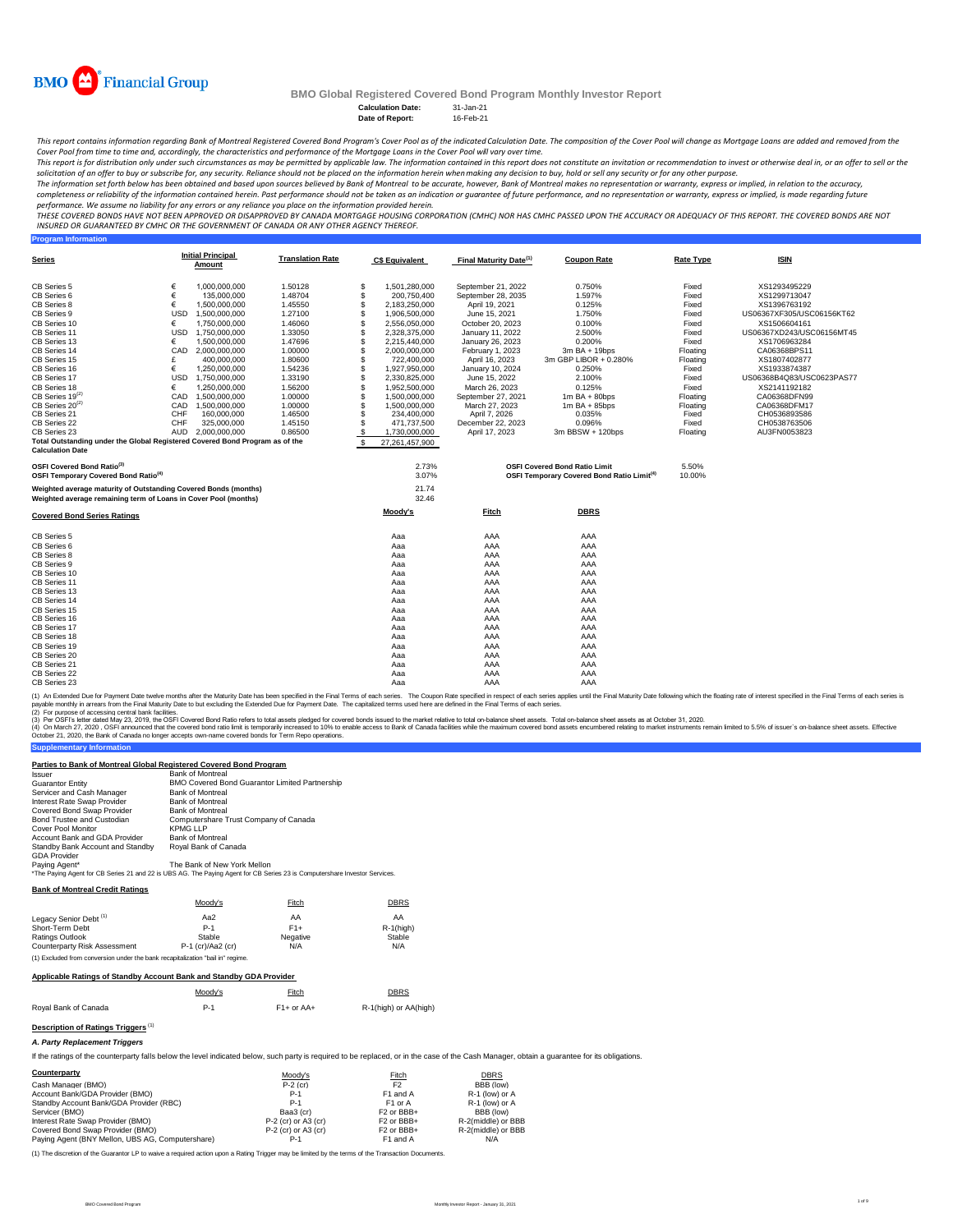

**Program Information**

# **BMO Global Registered Covered Bond Program Monthly Investor Report**

**Calculation Date:** 31-Jan-21 **Date of Report:** 

This report contains information regarding Bank of Montreal Registered Covered Bond Program's Cover Pool as of the indicated Calculation Date. The composition of the Cover Pool will change as Mortgage Loans are added and r *Cover Pool from time to time and, accordingly, the characteristics and performance of the Mortgage Loans in the Cover Pool will vary over time.*

This report is for distribution only under such circumstances as may be permitted by applicable law. The information contained in this report does not constitute an invitation or recommendation to invest or otherwise deal

The information set forth below has been obtained and based upon sources believed by Bank of Montreal co be accurate, however, Bank of Montreal makes no representation or warranty, express or implied, in relation to the ac

performance. We assume no liability for any errors or any reliance you place on the information provided herein.<br>THESE COVERED BONDS HAVE NOT BEEN APPROVED BO DISAPPROVED BY CANADA MORTGAGE HOUSING CORPORATION (CMHC) NOR H *INSURED OR GUARANTEED BY CMHC OR THE GOVERNMENT OF CANADA OR ANY OTHER AGENCY THEREOF.*

| Series                                                                                                                             |            | <b>Initial Principal</b><br>Amount | <b>Translation Rate</b> |     | <b>C\$ Equivalent</b> | Final Maturity Date <sup>(1)</sup> | <b>Coupon Rate</b>                                           | <b>Rate Type</b> | <b>ISIN</b>               |
|------------------------------------------------------------------------------------------------------------------------------------|------------|------------------------------------|-------------------------|-----|-----------------------|------------------------------------|--------------------------------------------------------------|------------------|---------------------------|
| CB Series 5                                                                                                                        | €          | 1.000.000.000                      | 1.50128                 | \$  | 1,501,280,000         | September 21, 2022                 | 0.750%                                                       | Fixed            | XS1293495229              |
| CB Series 6                                                                                                                        | €          | 135,000,000                        | 1.48704                 | \$  | 200,750,400           | September 28, 2035                 | 1.597%                                                       | Fixed            | XS1299713047              |
| CB Series 8                                                                                                                        | €          | 1,500,000,000                      | 1.45550                 | \$  | 2.183.250.000         | April 19, 2021                     | 0.125%                                                       | Fixed            | XS1396763192              |
| CB Series 9                                                                                                                        | <b>USD</b> | 1,500,000,000                      | 1.27100                 | \$  | 1,906,500,000         | June 15, 2021                      | 1.750%                                                       | Fixed            | US06367XF305/USC06156KT62 |
| CB Series 10                                                                                                                       | €          | 1,750,000,000                      | 1.46060                 | \$  | 2,556,050,000         | October 20, 2023                   | 0.100%                                                       | Fixed            | XS1506604161              |
| CB Series 11                                                                                                                       | <b>USD</b> | 1,750,000,000                      | 1.33050                 | \$  | 2,328,375,000         | January 11, 2022                   | 2.500%                                                       | Fixed            | US06367XD243/USC06156MT45 |
| CB Series 13                                                                                                                       | €          | 1.500.000.000                      | 1.47696                 | \$  | 2,215,440,000         | January 26, 2023                   | 0.200%                                                       | Fixed            | XS1706963284              |
| CB Series 14                                                                                                                       | CAD        | 2,000,000,000                      | 1.00000                 | \$  | 2,000,000,000         | February 1, 2023                   | 3m BA + 19bps                                                | Floating         | CA06368BPS11              |
| CB Series 15                                                                                                                       | £          | 400.000.000                        | 1.80600                 | \$  | 722.400.000           | April 16, 2023                     | 3m GBP LIBOR + 0.280%                                        | Floating         | XS1807402877              |
| CB Series 16                                                                                                                       | €          | 1.250.000.000                      | 1.54236                 | \$  | 1,927,950,000         | January 10, 2024                   | 0.250%                                                       | Fixed            | XS1933874387              |
| CB Series 17                                                                                                                       | <b>USD</b> | 1,750,000,000                      | 1.33190                 | \$  | 2,330,825,000         | June 15, 2022                      | 2.100%                                                       | Fixed            | US06368B4Q83/USC0623PAS77 |
| CB Series 18                                                                                                                       | €          | 1.250.000.000                      | 1.56200                 | \$  | 1,952,500,000         | March 26, 2023                     | 0.125%                                                       | Fixed            | XS2141192182              |
| $CB$ Series 19 $^{(2)}$                                                                                                            |            | CAD 1.500.000.000                  | 1.00000                 | \$  | 1,500,000,000         | September 27, 2021                 | $1m$ BA + 80bps                                              | Floating         | CA06368DFN99              |
| $CB$ Series 20 <sup>(2)</sup>                                                                                                      | CAD        | 1,500,000,000                      | 1.00000                 | \$  | 1,500,000,000         | March 27, 2023                     | $1m$ BA + 85bps                                              | Floating         | CA06368DFM17              |
| CB Series 21                                                                                                                       | CHF        | 160,000,000                        | 1.46500                 | \$  | 234,400,000           | April 7, 2026                      | 0.035%                                                       | Fixed            | CH0536893586              |
| CB Series 22                                                                                                                       | CHF        | 325,000,000                        | 1.45150                 | \$  | 471,737,500           | December 22, 2023                  | 0.096%                                                       | Fixed            | CH0538763506              |
| CB Series 23                                                                                                                       |            | AUD 2,000,000,000                  | 0.86500                 | \$  | 1,730,000,000         | April 17, 2023                     | 3m BBSW + 120bps                                             | Floating         | AU3FN0053823              |
| Total Outstanding under the Global Registered Covered Bond Program as of the<br><b>Calculation Date</b>                            |            |                                    |                         | -S. | 27,261,457,900        |                                    |                                                              |                  |                           |
| OSFI Covered Bond Ratio <sup>(3)</sup>                                                                                             |            |                                    |                         |     | 2.73%                 |                                    | <b>OSFI Covered Bond Ratio Limit</b>                         | 5.50%            |                           |
| OSFI Temporary Covered Bond Ratio <sup>(4)</sup>                                                                                   |            |                                    |                         |     | 3.07%                 |                                    | <b>OSFI Temporary Covered Bond Ratio Limit<sup>(4)</sup></b> | 10.00%           |                           |
| Weighted average maturity of Outstanding Covered Bonds (months)<br>Weighted average remaining term of Loans in Cover Pool (months) |            |                                    |                         |     | 21.74<br>32.46        |                                    |                                                              |                  |                           |
|                                                                                                                                    |            |                                    |                         |     |                       |                                    |                                                              |                  |                           |
| <b>Covered Bond Series Ratings</b>                                                                                                 |            |                                    |                         |     | Moody's               | Fitch                              | <b>DBRS</b>                                                  |                  |                           |
| CB Series 5                                                                                                                        |            |                                    |                         |     | Aaa                   | AAA                                | AAA                                                          |                  |                           |
| CB Series 6                                                                                                                        |            |                                    |                         |     | Aaa                   | AAA                                | AAA                                                          |                  |                           |
| CB Series 8                                                                                                                        |            |                                    |                         |     | Aaa                   | AAA                                | AAA                                                          |                  |                           |
| CB Series 9                                                                                                                        |            |                                    |                         |     | Aaa                   | AAA                                | AAA                                                          |                  |                           |
| CB Series 10                                                                                                                       |            |                                    |                         |     | Aaa                   | AAA                                | AAA                                                          |                  |                           |
| CB Series 11                                                                                                                       |            |                                    |                         |     | Aaa                   | AAA                                | AAA                                                          |                  |                           |
| CB Series 13                                                                                                                       |            |                                    |                         |     | Aaa                   | AAA                                | AAA                                                          |                  |                           |
| CB Series 14                                                                                                                       |            |                                    |                         |     | Aaa                   | AAA                                | AAA                                                          |                  |                           |
| CB Series 15                                                                                                                       |            |                                    |                         |     | Aaa                   | AAA                                | AAA                                                          |                  |                           |
| CB Series 16                                                                                                                       |            |                                    |                         |     | Aaa                   | AAA                                | AAA                                                          |                  |                           |
| CB Series 17                                                                                                                       |            |                                    |                         |     | Aaa                   | AAA                                | AAA                                                          |                  |                           |
| CB Series 18                                                                                                                       |            |                                    |                         |     | Aaa                   | AAA                                | AAA                                                          |                  |                           |
| CB Series 19                                                                                                                       |            |                                    |                         |     | Aaa                   | AAA                                | AAA                                                          |                  |                           |
| CB Series 20                                                                                                                       |            |                                    |                         |     | Aaa                   | AAA                                | AAA                                                          |                  |                           |
| CB Series 21                                                                                                                       |            |                                    |                         |     | Aaa                   | AAA                                | AAA                                                          |                  |                           |
| CB Series 22                                                                                                                       |            |                                    |                         |     | Aaa                   | AAA                                | AAA                                                          |                  |                           |
| CB Series 23                                                                                                                       |            |                                    |                         |     | Aaa                   | AAA                                | AAA                                                          |                  |                           |

(1) An Extended Due for Payment Date twelve months after the Maturity Date has been specified in the Final of each series. The Coupon Rate specified in the Final Tems of each series is<br>payable monthy in arrears from the Fi

(2) For purpose of accessing central ank facilities.<br>(3) Por OSFI's letter dated May 23, 2019, the OSFI Covered Bond Ratio refers to total assets pledged for covered bonds issued to the market relative to total on-balance

## **Parties to Bank of Montreal Global Registered Covered Bond Program**

| Issuer                           | <b>Bank of Montreal</b>                                                                                                    |
|----------------------------------|----------------------------------------------------------------------------------------------------------------------------|
| <b>Guarantor Entity</b>          | <b>BMO Covered Bond Guarantor Limited Partnership</b>                                                                      |
| Servicer and Cash Manager        | <b>Bank of Montreal</b>                                                                                                    |
| Interest Rate Swap Provider      | <b>Bank of Montreal</b>                                                                                                    |
| Covered Bond Swap Provider       | <b>Bank of Montreal</b>                                                                                                    |
| Bond Trustee and Custodian       | Computershare Trust Company of Canada                                                                                      |
| Cover Pool Monitor               | <b>KPMG LLP</b>                                                                                                            |
| Account Bank and GDA Provider    | <b>Bank of Montreal</b>                                                                                                    |
| Standby Bank Account and Standby | Roval Bank of Canada                                                                                                       |
| <b>GDA Provider</b>              |                                                                                                                            |
| Paying Agent*                    | The Bank of New York Mellon                                                                                                |
|                                  | *The Paying Agent for CB Series 21 and 22 is UBS AG. The Paying Agent for CB Series 23 is Computershare Investor Services. |

**Bank of Montreal Credit Ratings**

**Supplementary Information**

|                                                                                | Moody's             | Fitch    | <b>DBRS</b>  |
|--------------------------------------------------------------------------------|---------------------|----------|--------------|
| Legacy Senior Debt <sup>(1)</sup>                                              | Aa2                 | AA       | AA           |
| Short-Term Debt                                                                | $P-1$               | $F1+$    | $R-1$ (high) |
| Ratings Outlook                                                                | Stable              | Negative | Stable       |
| Counterparty Risk Assessment                                                   | $P-1$ (cr)/Aa2 (cr) | N/A      | N/A          |
| (1) Excluded from conversion under the bank recapitalization "bail in" regime. |                     |          |              |

## **Applicable Ratings of Standby Account Bank and Standby GDA Provider**

|                      | Moody's    | Fitch        | DBRS                  |
|----------------------|------------|--------------|-----------------------|
| Roval Bank of Canada | <b>P.1</b> | $F1+$ or AA+ | R-1(high) or AA(high) |

#### **Description of Ratings Triggers** (1)

*A. Party Replacement Triggers*

If the ratings of the counterparty falls below the level indicated below, such party is required to be replaced, or in the case of the Cash Manager, obtain a guarantee for its obligations.

| Counterparty                                     | Moody's               | Fitch                             | <b>DBRS</b>        |
|--------------------------------------------------|-----------------------|-----------------------------------|--------------------|
| Cash Manager (BMO)                               | $P-2$ (cr)            | F <sub>2</sub>                    | BBB (low)          |
| Account Bank/GDA Provider (BMO)                  | $P-1$                 | F1 and A                          | R-1 (low) or A     |
| Standby Account Bank/GDA Provider (RBC)          | $P-1$                 | F <sub>1</sub> or A               | R-1 (low) or A     |
| Servicer (BMO)                                   | Baa3 (cr)             | F <sub>2</sub> or BB <sub>+</sub> | BBB (low)          |
| Interest Rate Swap Provider (BMO)                | $P-2$ (cr) or A3 (cr) | F <sub>2</sub> or BB <sub>+</sub> | R-2(middle) or BBB |
| Covered Bond Swap Provider (BMO)                 | $P-2$ (cr) or A3 (cr) | F <sub>2</sub> or BB <sub>+</sub> | R-2(middle) or BBB |
| Paving Agent (BNY Mellon, UBS AG, Computershare) | $P-1$                 | F1 and A                          | N/A                |

(1) The discretion of the Guarantor LP to waive a required action upon a Rating Trigger may be limited by the terms of the Transaction Docum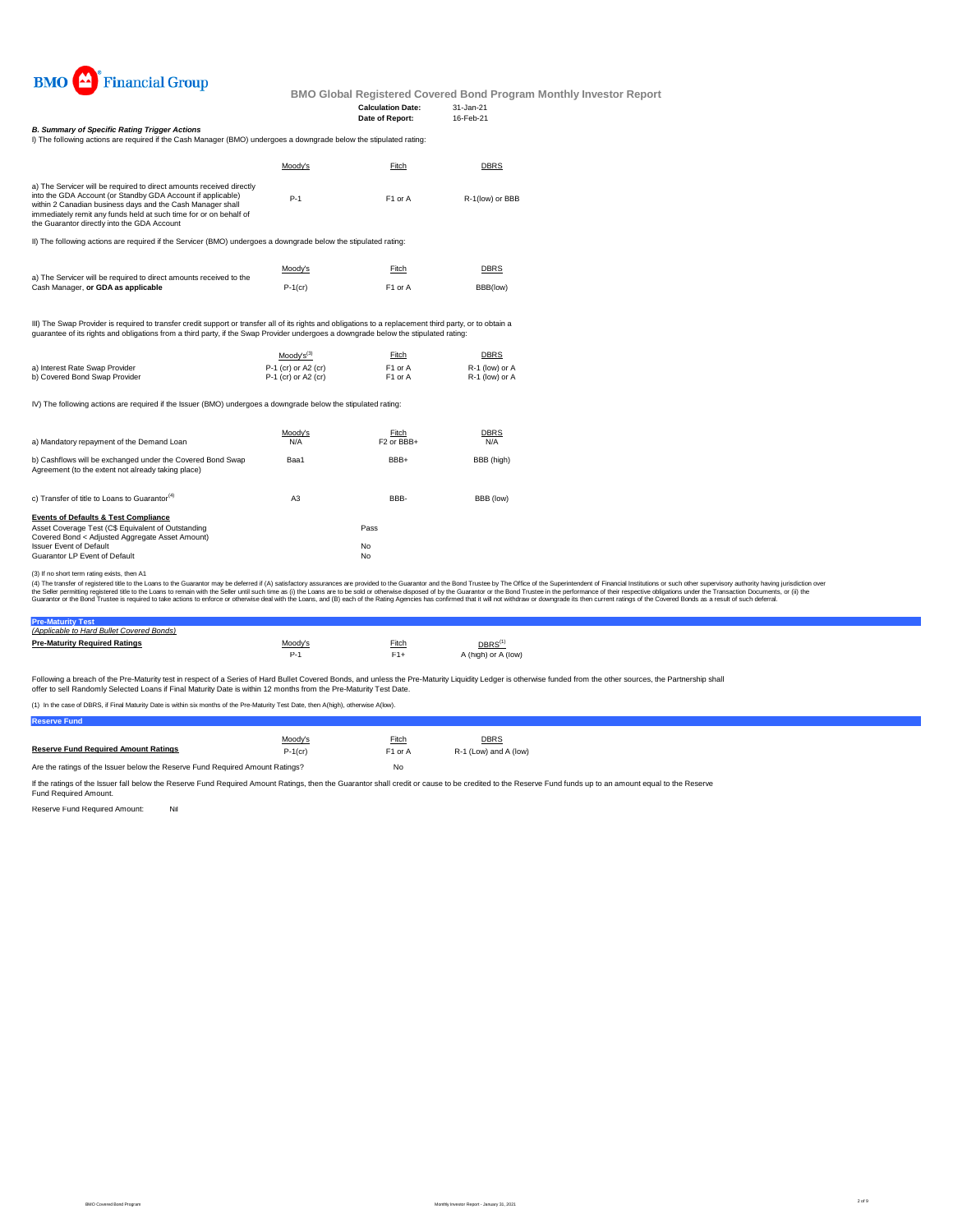

# **Date of Report:**

**Calculation Date:** 31-Jan-21<br> **Date of Report:** 16-Feb-21

*B. Summary of Specific Rating Trigger Actions*

| I) The following actions are required if the Cash Manager (BMO) undergoes a downgrade below the stipulated rating:                                                                                                                                                                                                    |         |                     |                 |
|-----------------------------------------------------------------------------------------------------------------------------------------------------------------------------------------------------------------------------------------------------------------------------------------------------------------------|---------|---------------------|-----------------|
|                                                                                                                                                                                                                                                                                                                       | Moodv's | Fitch               | <b>DBRS</b>     |
| a) The Servicer will be required to direct amounts received directly<br>into the GDA Account (or Standby GDA Account if applicable)<br>within 2 Canadian business days and the Cash Manager shall<br>immediately remit any funds held at such time for or on behalf of<br>the Guarantor directly into the GDA Account | $P-1$   | F <sub>1</sub> or A | R-1(low) or BBB |

II) The following actions are required if the Servicer (BMO) undergoes a downgrade below the stipulated rating:

|                                                                    | Moody's    | Fitch               | <b>DBRS</b> |
|--------------------------------------------------------------------|------------|---------------------|-------------|
| a) The Servicer will be required to direct amounts received to the |            |                     |             |
| Cash Manager, or GDA as applicable                                 | $P-1$ (cr) | F <sub>1</sub> or A | BBB(low)    |

III) The Swap Provider is required to transfer credit support or transfer all of its rights and obligations to a replacement third party, or to obtain a<br>guarantee of its rights and obligations from a third party, if the Sw

|                                | $Mody's^{(3)}$        | Fitch               | <b>DBRS</b>    |
|--------------------------------|-----------------------|---------------------|----------------|
| a) Interest Rate Swap Provider | $P-1$ (cr) or A2 (cr) | F <sub>1</sub> or A | R-1 (low) or A |
| b) Covered Bond Swap Provider  | $P-1$ (cr) or A2 (cr) | F1 or A             | R-1 (low) or A |

IV) The following actions are required if the Issuer (BMO) undergoes a downgrade below the stipulated rating:

| a) Mandatory repayment of the Demand Loan                                                                                                                                                                                   | Moody's<br>N/A | Fitch<br>F <sub>2</sub> or BB <sub>+</sub> | <b>DBRS</b><br>N/A |
|-----------------------------------------------------------------------------------------------------------------------------------------------------------------------------------------------------------------------------|----------------|--------------------------------------------|--------------------|
| b) Cashflows will be exchanged under the Covered Bond Swap<br>Agreement (to the extent not already taking place)                                                                                                            | Baa1           | BBB+                                       | BBB (high)         |
| c) Transfer of title to Loans to Guarantor <sup>(4)</sup>                                                                                                                                                                   | A <sub>3</sub> | BBB-                                       | BBB (low)          |
| <b>Events of Defaults &amp; Test Compliance</b><br>Asset Coverage Test (C\$ Equivalent of Outstanding<br>Covered Bond < Adjusted Aggregate Asset Amount)<br><b>Issuer Event of Default</b><br>Guarantor LP Event of Default |                | Pass<br>No<br>No                           |                    |

(3) I no short term rating exists, then A1<br>(4) The transfer of registered title to the Cuarator may be deferred if (A) satisfactory assurances are provided to the Guarantor and the Bond Trustee by The Office of the Superin

# **Pre-Maturity Test** *(Applicable to Hard Bullet Covered Bonds)*

| <b>Pre-Maturity Required Ratings</b> | Moody's | Fitch | $\mathsf{DBRS}^\mathsf{(1)}$ |
|--------------------------------------|---------|-------|------------------------------|
|                                      |         |       | A (high) or A (low)          |

Following a breach of the Pre-Maturity test in respect of a Series of Hard Bullet Covered Bonds, and unless the Pre-Maturity Liquidity Ledger is otherwise funded from the other sources, the Partnership shall offer to sell Randomly Selected Loans if Final Maturity Date is within 12 months from the Pre-Maturity Test Date.

(1) In the case of DBRS, if Final Maturity Date is within six months of the Pre-Maturity Test Date, then A(high), otherwise A(low).

**Reserve Fund**

|                                                                               | Moody's    | Fitch               | <b>DBRS</b>           |  |
|-------------------------------------------------------------------------------|------------|---------------------|-----------------------|--|
| <b>Reserve Fund Required Amount Ratings</b>                                   | $P-1$ (cr) | F <sub>1</sub> or A | R-1 (Low) and A (low) |  |
| Are the ratings of the Issuer below the Reserve Fund Required Amount Ratings? |            | No                  |                       |  |

If the ratings of the Issuer fall below the Reserve Fund Required Amount Ratings, then the Guarantor shall credit or cause to be credited to the Reserve Fund funds up to an amount equal to the Reserve<br>Fund Required Amount.

Reserve Fund Required Amount: Nil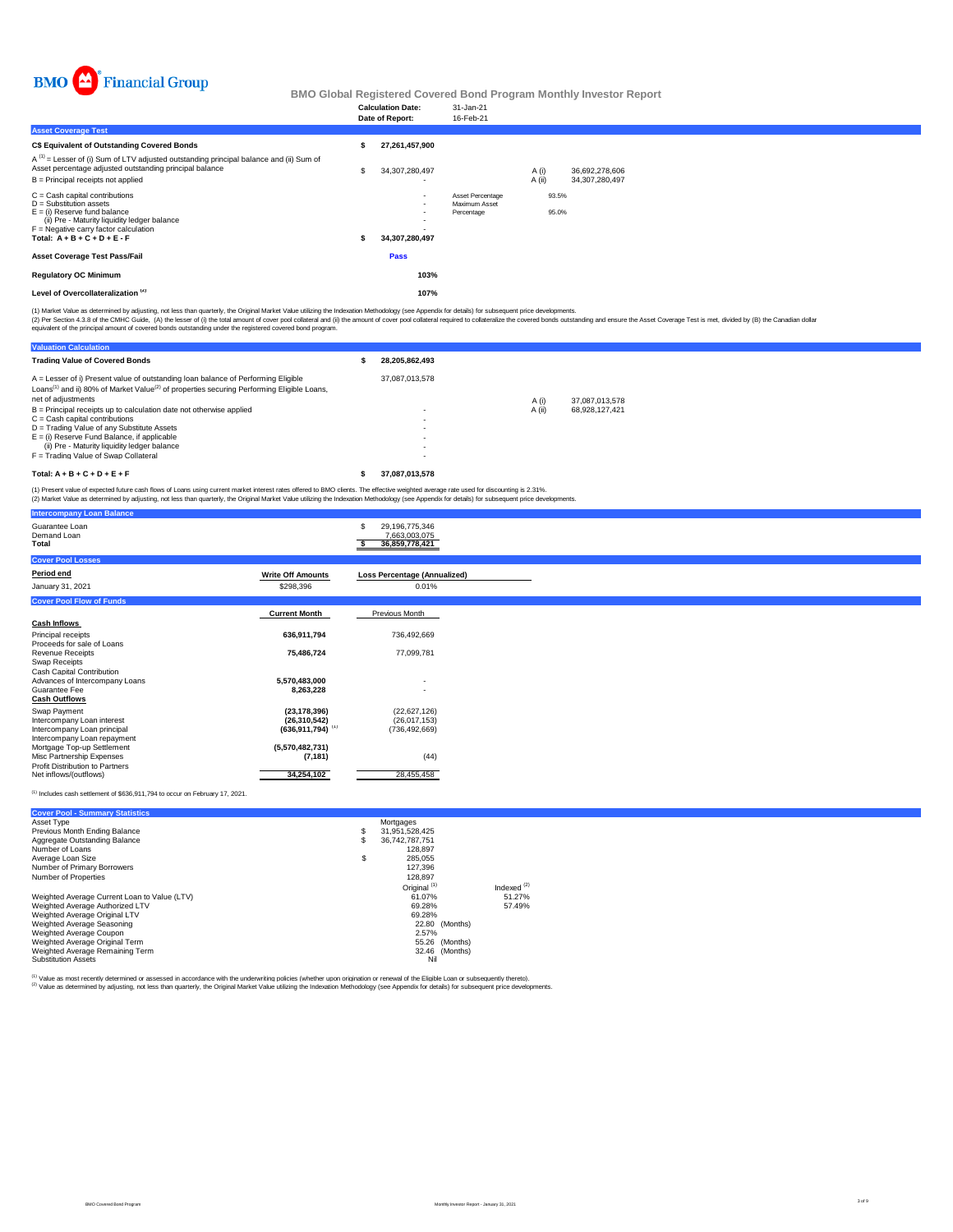

|                                                                                                                                                                                                                      |    | <b>Calculation Date:</b><br>Date of Report:                            | 31-Jan-21<br>16-Feb-21                          |                 |                |                                     |  |
|----------------------------------------------------------------------------------------------------------------------------------------------------------------------------------------------------------------------|----|------------------------------------------------------------------------|-------------------------------------------------|-----------------|----------------|-------------------------------------|--|
| <b>Asset Coverage Test</b>                                                                                                                                                                                           |    |                                                                        |                                                 |                 |                |                                     |  |
| C\$ Equivalent of Outstanding Covered Bonds                                                                                                                                                                          |    | 27,261,457,900                                                         |                                                 |                 |                |                                     |  |
| A <sup>(1)</sup> = Lesser of (i) Sum of LTV adjusted outstanding principal balance and (ii) Sum of<br>Asset percentage adjusted outstanding principal balance<br>B = Principal receipts not applied                  | \$ | 34,307,280,497                                                         |                                                 | A (i)<br>A (ii) |                | 36.692.278.606<br>34, 307, 280, 497 |  |
| C = Cash capital contributions<br>D = Substitution assets<br>E = (i) Reserve fund balance<br>(ii) Pre - Maturity liquidity ledger balance<br>F = Negative carry factor calculation<br>Total: $A + B + C + D + E - F$ | s. | $\overline{\phantom{a}}$<br>$\overline{\phantom{a}}$<br>34,307,280,497 | Asset Percentage<br>Maximum Asset<br>Percentage |                 | 93.5%<br>95.0% |                                     |  |
| Asset Coverage Test Pass/Fail                                                                                                                                                                                        |    | <b>Pass</b>                                                            |                                                 |                 |                |                                     |  |
| <b>Regulatory OC Minimum</b>                                                                                                                                                                                         |    | 103%                                                                   |                                                 |                 |                |                                     |  |
| Level of Overcollateralization <sup>(2)</sup>                                                                                                                                                                        |    | 107%                                                                   |                                                 |                 |                |                                     |  |
|                                                                                                                                                                                                                      |    |                                                                        |                                                 |                 |                |                                     |  |

(1) Market Value as determined by adjusting, not less than quarterly, the Original Market Value utilizing the Indexation Methodology (see Appendix for details) for subsequent price developments.

(2) Per Section 4.3.8 of the CMHC Guide, (A) the lesser of (i) the tatal anount of cover prod collateral of (ii) the amount of cover pool collateral required to collateralize the covered bonds custanding and ensure the Ass

| <b>Valuation Calculation</b>                                                                                                                                                                                                 |                |        |                |
|------------------------------------------------------------------------------------------------------------------------------------------------------------------------------------------------------------------------------|----------------|--------|----------------|
| <b>Trading Value of Covered Bonds</b>                                                                                                                                                                                        | 28.205.862.493 |        |                |
| A = Lesser of i) Present value of outstanding loan balance of Performing Eligible<br>Loans <sup>(1)</sup> and ii) 80% of Market Value <sup>(2)</sup> of properties securing Performing Eligible Loans.<br>net of adiustments | 37.087.013.578 | A(i)   | 37.087.013.578 |
| B = Principal receipts up to calculation date not otherwise applied                                                                                                                                                          |                | A (ii) | 68.928.127.421 |
| C = Cash capital contributions                                                                                                                                                                                               |                |        |                |
| D = Trading Value of any Substitute Assets                                                                                                                                                                                   |                |        |                |
| E = (i) Reserve Fund Balance, if applicable                                                                                                                                                                                  |                |        |                |
| (ii) Pre - Maturity liquidity ledger balance                                                                                                                                                                                 |                |        |                |
| F = Trading Value of Swap Collateral                                                                                                                                                                                         |                |        |                |
| $Total: A + B + C + D + E + F$                                                                                                                                                                                               | 37.087.013.578 |        |                |

(1) Present value of expected future cash flows of Loans using current market interest rates offered to BMO clients. The effective weighted average rate used for discounting is 2.31%.<br>(2) Market Value as determined by adju

| <b>Intercompany Loan Balance</b>                          |                                |                                                   |
|-----------------------------------------------------------|--------------------------------|---------------------------------------------------|
| Guarantee Loan<br>Demand Loan<br>Total                    |                                | 29,196,775,346<br>7,663,003,075<br>36,859,778,421 |
| <b>Cover Pool Losses</b>                                  |                                |                                                   |
| Period end                                                | <b>Write Off Amounts</b>       | Loss Percentage (Annualized)                      |
| January 31, 2021                                          | \$298,396                      | 0.01%                                             |
| <b>Cover Pool Flow of Funds</b>                           |                                |                                                   |
|                                                           | <b>Current Month</b>           | Previous Month                                    |
| <b>Cash Inflows</b>                                       |                                |                                                   |
| Principal receipts                                        | 636,911,794                    | 736,492,669                                       |
| Proceeds for sale of Loans<br>Revenue Receipts            | 75,486,724                     | 77,099,781                                        |
| Swap Receipts                                             |                                |                                                   |
| Cash Capital Contribution                                 |                                |                                                   |
| Advances of Intercompany Loans<br>Guarantee Fee           | 5.570.483.000<br>8,263,228     | $\overline{\phantom{a}}$                          |
| <b>Cash Outflows</b>                                      |                                |                                                   |
| Swap Payment                                              | (23, 178, 396)                 | (22,627,126)                                      |
| Intercompany Loan interest                                | (26, 310, 542)                 | (26.017.153)                                      |
| Intercompany Loan principal                               | $(636,911,794)$ <sup>(1)</sup> | (736, 492, 669)                                   |
| Intercompany Loan repayment<br>Mortgage Top-up Settlement | (5,570,482,731)                |                                                   |
| Misc Partnership Expenses                                 | (7, 181)                       | (44)                                              |
| Profit Distribution to Partners                           |                                |                                                   |
| Net inflows/(outflows)                                    | 34,254,102                     | 28,455,458                                        |

#### $(1)$  Includes cash settlement of \$636,911,794 to occur on February 17, 2021.

**Cover Pool - Summary Statistics**

| Asset Type                                   |   | Mortgages               |               |
|----------------------------------------------|---|-------------------------|---------------|
| Previous Month Ending Balance                | s | 31.951.528.425          |               |
| Aggregate Outstanding Balance                | Ŝ | 36.742.787.751          |               |
| Number of Loans                              |   | 128.897                 |               |
| Average Loan Size                            | S | 285.055                 |               |
| Number of Primary Borrowers                  |   | 127.396                 |               |
| Number of Properties                         |   | 128.897                 |               |
|                                              |   | Original <sup>(1)</sup> | Indexed $(2)$ |
| Weighted Average Current Loan to Value (LTV) |   | 61.07%                  | 51.27%        |
| Weighted Average Authorized LTV              |   | 69.28%                  | 57.49%        |
| Weighted Average Original LTV                |   | 69.28%                  |               |
| Weighted Average Seasoning                   |   | (Months)<br>22.80       |               |
| Weighted Average Coupon                      |   | 2.57%                   |               |
| Weighted Average Original Term               |   | 55.26<br>(Months)       |               |
| Weighted Average Remaining Term              |   | 32.46 (Months)          |               |
| <b>Substitution Assets</b>                   |   | Nil                     |               |

<sup>(1)</sup> Value as most recently determined or assessed in accordance with the underwriting policies (whether upon origination or renewal of the Eligible Loan or subsequently thereto).<br><sup>(2)</sup> Value as determined by adjusting, n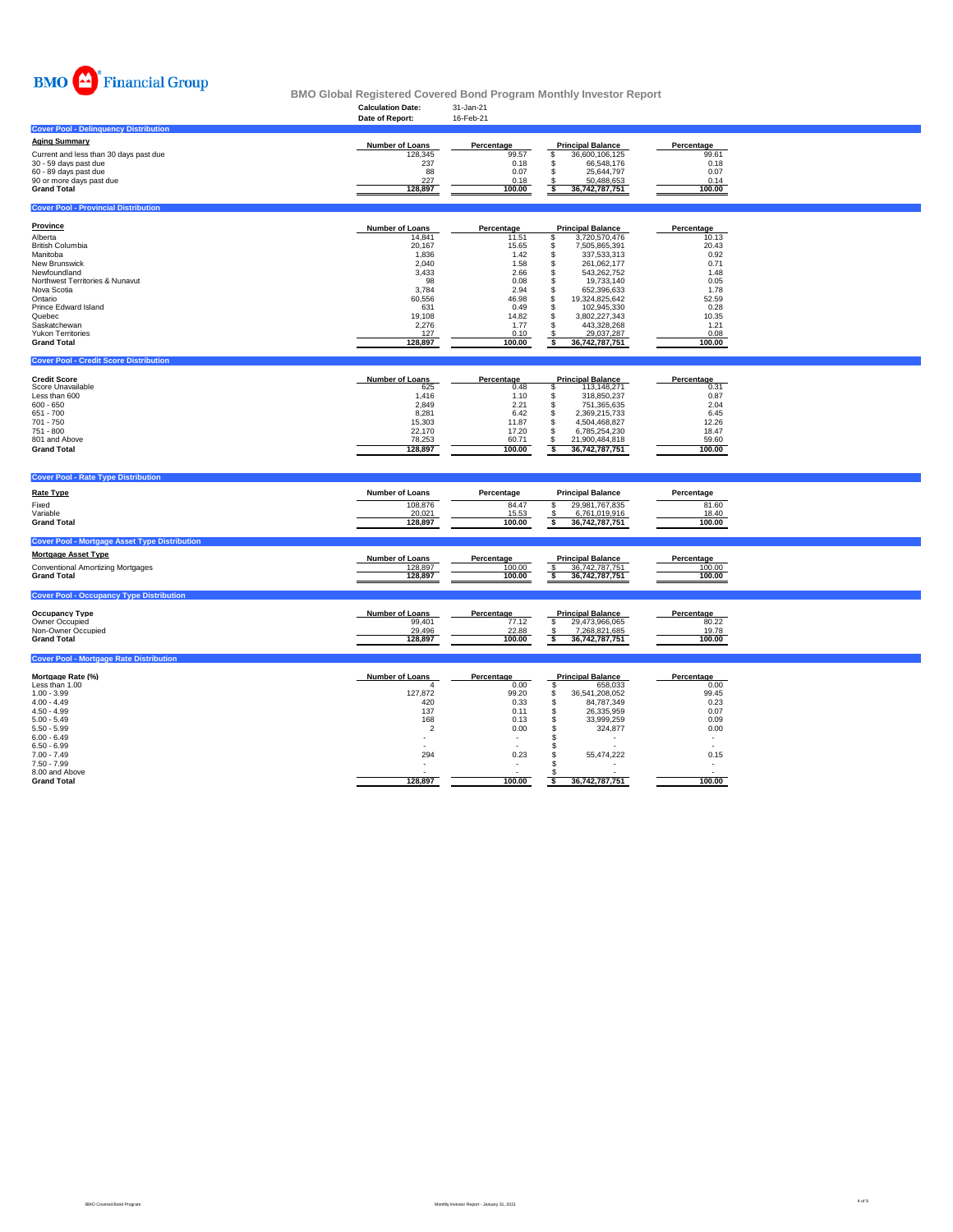

|                                                                                                                                                                                                                                                              | <b>Calculation Date:</b><br>Date of Report:                                                                                         | 31-Jan-21<br>16-Feb-21                                                                                                   |                                                                                                                                                                                                                                                                                                                              |                                                                                                                          |  |
|--------------------------------------------------------------------------------------------------------------------------------------------------------------------------------------------------------------------------------------------------------------|-------------------------------------------------------------------------------------------------------------------------------------|--------------------------------------------------------------------------------------------------------------------------|------------------------------------------------------------------------------------------------------------------------------------------------------------------------------------------------------------------------------------------------------------------------------------------------------------------------------|--------------------------------------------------------------------------------------------------------------------------|--|
| <b>Cover Pool - Delinguency Distribution</b>                                                                                                                                                                                                                 |                                                                                                                                     |                                                                                                                          |                                                                                                                                                                                                                                                                                                                              |                                                                                                                          |  |
| <b>Aging Summary</b><br>Current and less than 30 days past due<br>30 - 59 days past due<br>60 - 89 days past due<br>90 or more days past due<br><b>Grand Total</b>                                                                                           | Number of Loans<br>128.345<br>237<br>88<br>227<br>128,897                                                                           | Percentage<br>99.57<br>0.18<br>0.07<br>0.18<br>100.00                                                                    | <b>Principal Balance</b><br>36,600,106,125<br>\$<br>\$<br>66,548,176<br>\$<br>25,644,797<br>50,488,653<br>-8<br>36,742,787,751<br>ŝ                                                                                                                                                                                          | Percentage<br>99.61<br>0.18<br>0.07<br>0.14<br>100.00                                                                    |  |
| <b>Cover Pool - Provincial Distribution</b>                                                                                                                                                                                                                  |                                                                                                                                     |                                                                                                                          |                                                                                                                                                                                                                                                                                                                              |                                                                                                                          |  |
| <b>Province</b><br>Alberta<br><b>British Columbia</b><br>Manitoba<br>New Brunswick<br>Newfoundland<br>Northwest Territories & Nunavut<br>Nova Scotia<br>Ontario<br>Prince Edward Island<br>Quebec<br>Saskatchewan<br>Yukon Territories<br><b>Grand Total</b> | Number of Loans<br>14,841<br>20,167<br>1,836<br>2,040<br>3,433<br>98<br>3,784<br>60,556<br>631<br>19,108<br>2,276<br>127<br>128,897 | Percentage<br>11.51<br>15.65<br>1.42<br>1.58<br>2.66<br>0.08<br>2.94<br>46.98<br>0.49<br>14.82<br>1.77<br>0.10<br>100.00 | <b>Principal Balance</b><br>3,720,570,476<br>\$<br>\$<br>7,505,865,391<br>\$<br>337,533,313<br>\$<br>261,062,177<br>\$<br>543,262,752<br>\$<br>19,733,140<br>\$<br>652,396,633<br>\$<br>19.324.825.642<br>S<br>102,945,330<br>\$<br>3,802,227,343<br>$\ddot{s}$<br>443,328,268<br>$\$\$<br>29,037,287<br>s<br>36,742,787,751 | Percentage<br>10.13<br>20.43<br>0.92<br>0.71<br>1.48<br>0.05<br>1.78<br>52.59<br>0.28<br>10.35<br>1.21<br>0.08<br>100.00 |  |
| <b>Cover Pool - Credit Score Distribution</b>                                                                                                                                                                                                                |                                                                                                                                     |                                                                                                                          |                                                                                                                                                                                                                                                                                                                              |                                                                                                                          |  |
| <b>Credit Score</b><br>Score Unavailable<br>Less than 600<br>$600 - 650$<br>651 - 700<br>701 - 750<br>751 - 800<br>801 and Above<br><b>Grand Total</b>                                                                                                       | Number of Loans<br>625<br>1,416<br>2,849<br>8,281<br>15,303<br>22,170<br>78,253<br>128,897                                          | Percentage<br>0.48<br>1.10<br>2.21<br>6.42<br>11.87<br>17.20<br>60.71<br>100.00                                          | <b>Principal Balance</b><br>s<br>113,148,271<br>$\mathbb S$<br>318,850,237<br>\$<br>751,365,635<br>\$<br>2,369,215,733<br>\$<br>4,504,468,827<br>\$<br>6,785,254,230<br>\$<br>21,900,484,818<br>$\overline{\mathbf{s}}$<br>36,742,787,751                                                                                    | Percentage<br>0.31<br>0.87<br>2.04<br>6.45<br>12.26<br>18.47<br>59.60<br>100.00                                          |  |
| <b>Cover Pool - Rate Type Distribution</b>                                                                                                                                                                                                                   |                                                                                                                                     |                                                                                                                          |                                                                                                                                                                                                                                                                                                                              |                                                                                                                          |  |
| <b>Rate Type</b><br>Fixed<br>Variable<br><b>Grand Total</b>                                                                                                                                                                                                  | <b>Number of Loans</b><br>108,876<br>20,021<br>128,897                                                                              | Percentage<br>84.47<br>15.53<br>100.00                                                                                   | <b>Principal Balance</b><br>29,981,767,835<br>\$<br>6,761,019,916<br>-S<br>s<br>36,742,787,751                                                                                                                                                                                                                               | Percentage<br>81.60<br>18.40<br>100.00                                                                                   |  |
| <b>Cover Pool - Mortgage Asset Type Distribution</b>                                                                                                                                                                                                         |                                                                                                                                     |                                                                                                                          |                                                                                                                                                                                                                                                                                                                              |                                                                                                                          |  |
| <b>Mortgage Asset Type</b><br><b>Conventional Amortizing Mortgages</b><br><b>Grand Total</b>                                                                                                                                                                 | Number of Loans<br>128,897<br>128,897                                                                                               | Percentage<br>100.00<br>100.00                                                                                           | <b>Principal Balance</b><br>36,742,787,751<br>36,742,787,751<br>\$                                                                                                                                                                                                                                                           | Percentage<br>100.00<br>100.00                                                                                           |  |
| <b>Cover Pool - Occupancy Type Distribution</b>                                                                                                                                                                                                              |                                                                                                                                     |                                                                                                                          |                                                                                                                                                                                                                                                                                                                              |                                                                                                                          |  |
| <b>Occupancy Type</b><br>Owner Occupied<br>Non-Owner Occupied<br><b>Grand Total</b>                                                                                                                                                                          | <b>Number of Loans</b><br>99,401<br>29.496<br>128,897                                                                               | Percentage<br>77.12<br>22.88<br>100.00                                                                                   | <b>Principal Balance</b><br>s<br>29,473,966,065<br>7.268.821.685<br>s<br>36,742,787,751                                                                                                                                                                                                                                      | Percentage<br>80.22<br>19.78<br>100.00                                                                                   |  |
| <b>Cover Pool - Mortgage Rate Distribution</b>                                                                                                                                                                                                               |                                                                                                                                     |                                                                                                                          |                                                                                                                                                                                                                                                                                                                              |                                                                                                                          |  |
| Mortaage Rate (%)<br>Less than 1.00<br>$1.00 - 3.99$<br>$4.00 - 4.49$<br>$4.50 - 4.99$<br>$5.00 - 5.49$<br>$5.50 - 5.99$<br>$6.00 - 6.49$<br>$6.50 - 6.99$<br>$7.00 - 7.49$<br>$7.50 - 7.99$<br>8.00 and Above                                               | <b>Number of Loans</b><br>127,872<br>420<br>137<br>168<br>$\overline{2}$<br>294                                                     | Percentage<br>0.00<br>99.20<br>0.33<br>0.11<br>0.13<br>0.00<br>0.23                                                      | <b>Principal Balance</b><br>\$<br>658,033<br>\$<br>36,541,208,052<br>\$<br>84,787,349<br>$\mathsf{\$}$<br>26,335,959<br>33.999.259<br>Ŝ.<br>324,877<br>s<br>s<br>55,474,222<br>-S                                                                                                                                            | Percentage<br>0.00<br>99.45<br>0.23<br>0.07<br>0.09<br>0.00<br>0.15                                                      |  |
| <b>Grand Total</b>                                                                                                                                                                                                                                           | 128,897                                                                                                                             | 100.00                                                                                                                   | 36,742,787,751<br>\$                                                                                                                                                                                                                                                                                                         | 100.00                                                                                                                   |  |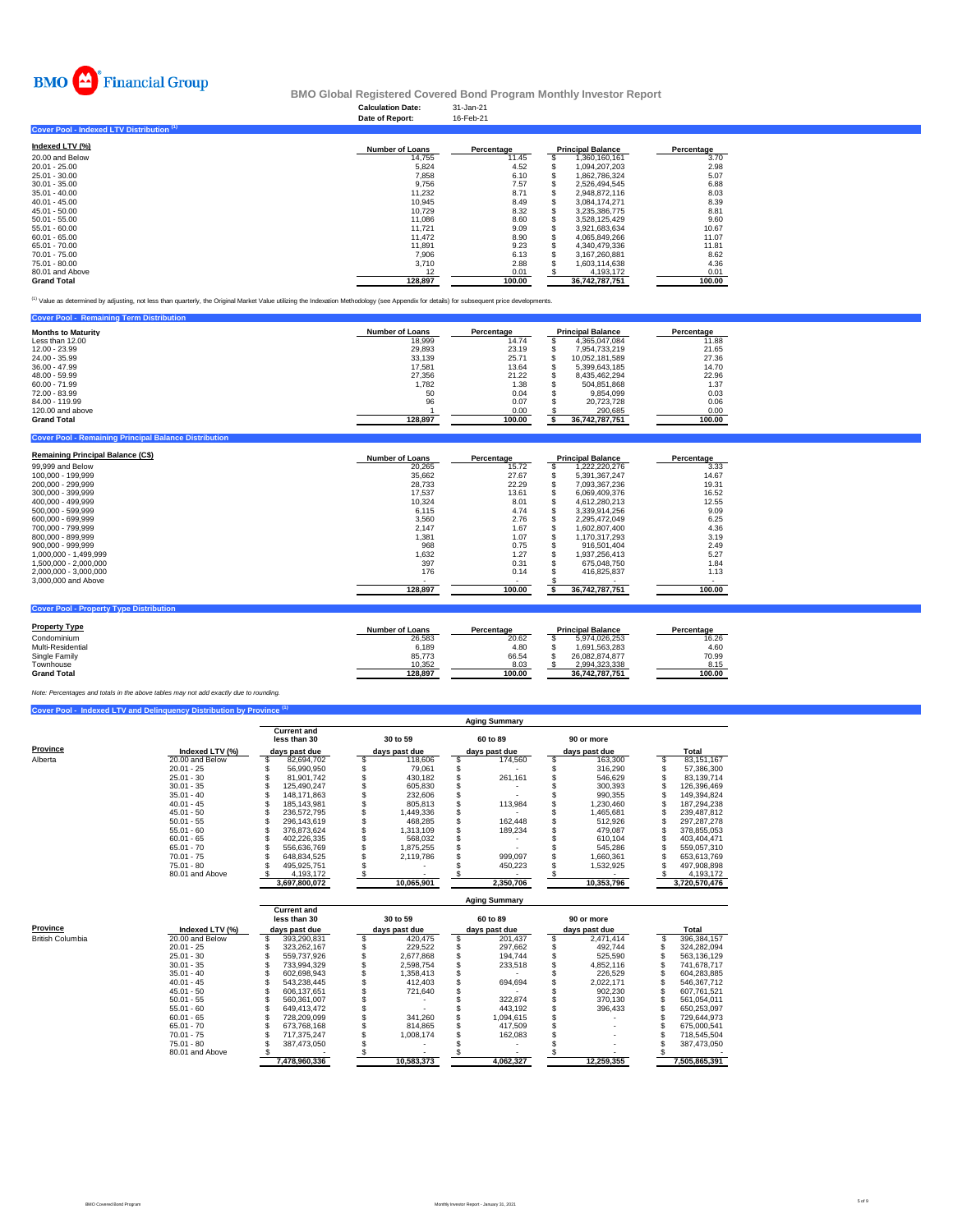

# **Calculation Date:** 31-Jan-21 **BMO Global Registered Covered Bond Program Monthly Investor Report**

|                                           | Date of Report:        | 16-Feb-21  |                          |            |
|-------------------------------------------|------------------------|------------|--------------------------|------------|
| Cover Pool - Indexed LTV Distribution (1) |                        |            |                          |            |
| Indexed LTV (%)                           | <b>Number of Loans</b> | Percentage | <b>Principal Balance</b> | Percentage |
| 20.00 and Below                           | 14,755                 | 11.45      | 1,360,160,161            | 3.70       |
| $20.01 - 25.00$                           | 5,824                  | 4.52       | 1.094.207.203            | 2.98       |
| 25.01 - 30.00                             | 7,858                  | 6.10       | 1,862,786,324            | 5.07       |
| $30.01 - 35.00$                           | 9.756                  | 7.57       | 2.526.494.545            | 6.88       |
| $35.01 - 40.00$                           | 11.232                 | 8.71       | 2,948,872,116            | 8.03       |
| $40.01 - 45.00$                           | 10,945                 | 8.49       | 3,084,174,271            | 8.39       |
| $45.01 - 50.00$                           | 10.729                 | 8.32       | 3,235,386,775            | 8.81       |
| $50.01 - 55.00$                           | 11,086                 | 8.60       | 3,528,125,429            | 9.60       |
| $55.01 - 60.00$                           | 11.721                 | 9.09       | 3,921,683,634            | 10.67      |
| $60.01 - 65.00$                           | 11.472                 | 8.90       | 4,065,849,266            | 11.07      |
| 65.01 - 70.00                             | 11.891                 | 9.23       | 4.340.479.336            | 11.81      |
| 70.01 - 75.00                             | 7.906                  | 6.13       | 3,167,260,881            | 8.62       |
| 75.01 - 80.00                             | 3.710                  | 2.88       | 1,603,114,638            | 4.36       |
| 80.01 and Above                           | 12                     | 0.01       | 4,193,172                | 0.01       |
| <b>Grand Total</b>                        | 128.897                | 100.00     | 36,742,787,751           | 100.00     |

<sup>(1)</sup> Value as determined by adjusting, not less than quarterly, the Original Market Value utilizing the Indexation Methodology (see Appendix for details) for subsequent price developments.

| <b>Cover Pool - Remaining Term Distribution</b> |                        |            |                          |            |
|-------------------------------------------------|------------------------|------------|--------------------------|------------|
| <b>Months to Maturity</b>                       | <b>Number of Loans</b> | Percentage | <b>Principal Balance</b> | Percentage |
| Less than 12.00                                 | 18,999                 | 14.74      | 4.365.047.084            | 11.88      |
| 12.00 - 23.99                                   | 29,893                 | 23.19      | 7.954.733.219            | 21.65      |
| 24.00 - 35.99                                   | 33,139                 | 25.71      | 10.052.181.589           | 27.36      |
| 36.00 - 47.99                                   | 17.581                 | 13.64      | 5.399.643.185            | 14.70      |
| 48.00 - 59.99                                   | 27,356                 | 21.22      | 8.435.462.294            | 22.96      |
| $60.00 - 71.99$                                 | 1.782                  | 1.38       | 504.851.868              | 1.37       |
| 72.00 - 83.99                                   | 50                     | 0.04       | 9.854.099                | 0.03       |
| 84.00 - 119.99                                  | 96                     | 0.07       | 20,723,728               | 0.06       |
| 120,00 and above                                |                        | 0.00       | 290.685                  | 0.00       |
| <b>Grand Total</b>                              | 128,897                | 100.00     | 36,742,787,751           | 100.00     |

| <b>Cover Pool - Remaining Principal Balance Distribution</b> |                        |            |                          |            |
|--------------------------------------------------------------|------------------------|------------|--------------------------|------------|
| <b>Remaining Principal Balance (C\$)</b>                     | <b>Number of Loans</b> | Percentage | <b>Principal Balance</b> | Percentage |
| 99,999 and Below                                             | 20,265                 | 15.72      | 1.222.220.276            | 3.33       |
| 100.000 - 199.999                                            | 35.662                 | 27.67      | 5.391.367.247            | 14.67      |
| 200.000 - 299.999                                            | 28.733                 | 22.29      | 7,093,367,236            | 19.31      |
| 300.000 - 399.999                                            | 17.537                 | 13.61      | 6.069.409.376            | 16.52      |
| 400.000 - 499.999                                            | 10.324                 | 8.01       | 4.612.280.213            | 12.55      |
| 500.000 - 599.999                                            | 6,115                  | 4.74       | 3.339.914.256            | 9.09       |
| 600.000 - 699.999                                            | 3.560                  | 2.76       | 2.295.472.049            | 6.25       |
| 700.000 - 799.999                                            | 2.147                  | 1.67       | 1.602.807.400            | 4.36       |
| 800.000 - 899.999                                            | 1.381                  | 1.07       | 1.170.317.293            | 3.19       |
| 900.000 - 999.999                                            | 968                    | 0.75       | 916.501.404              | 2.49       |
| 1,000,000 - 1,499,999                                        | 1.632                  | 1.27       | 1.937.256.413            | 5.27       |
| 1.500.000 - 2.000.000                                        | 397                    | 0.31       | 675.048.750              | 1.84       |
| 2,000,000 - 3,000,000                                        | 176                    | 0.14       | 416.825.837              | 1.13       |
| 3,000,000 and Above                                          |                        |            |                          |            |
|                                                              | 128,897                | 100.00     | 36,742,787,751           | 100.00     |

| <b>Property Type</b> | <b>Number of Loans</b> | Percentage | <b>Principal Balance</b> | Percentage |
|----------------------|------------------------|------------|--------------------------|------------|
| Condominium          | 26.583                 | 20.62      | 5.974.026.253            | 16.26      |
| Multi-Residential    | 6.189                  | 4.80       | 1.691.563.283            | 4.60       |
| Single Family        | 85.773                 | 66.54      | 26.082.874.877           | 70.99      |
| Townhouse            | 10.352                 | 8.03       | 2.994.323.338            | 8.15       |
| <b>Grand Total</b>   | 128.897                | 100.00     | 36.742.787.751           | 100.00     |

*Note: Percentages and totals in the above tables may not add exactly due to rounding.*

**Coverty Type Distional** 

**Cover Pool - Indexed LTV and Delinquency Distribution by Province (1)**

|          |                 |                                    |               | <b>Aging Summary</b> |               |               |
|----------|-----------------|------------------------------------|---------------|----------------------|---------------|---------------|
|          |                 | <b>Current and</b><br>less than 30 | 30 to 59      | 60 to 89             | 90 or more    |               |
| Province | Indexed LTV (%) | days past due                      | days past due | days past due        | days past due | Total         |
| Alberta  | 20.00 and Below | 82.694.702                         | 118,606       | 174.560              | 163,300       | 83.151.167    |
|          | $20.01 - 25$    | 56.990.950                         | 79.061        |                      | 316,290       | 57,386,300    |
|          | $25.01 - 30$    | 81.901.742                         | 430.182       | 261.161              | 546.629       | 83.139.714    |
|          | $30.01 - 35$    | 125.490.247                        | 605,830       |                      | 300.393       | 126.396.469   |
|          | $35.01 - 40$    | 148.171.863                        | 232,606       |                      | 990.355       | 149,394,824   |
|          | $40.01 - 45$    | 185.143.981                        | 805.813       | 113.984              | 1.230.460     | 187.294.238   |
|          | $45.01 - 50$    | 236.572.795                        | 1,449,336     |                      | 1.465.681     | 239,487,812   |
|          | $50.01 - 55$    | 296.143.619                        | 468.285       | 162.448              | 512.926       | 297.287.278   |
|          | $55.01 - 60$    | 376.873.624                        | 1,313,109     | 189.234              | 479.087       | 378.855.053   |
|          | $60.01 - 65$    | 402.226.335                        | 568,032       |                      | 610.104       | 403.404.471   |
|          | $65.01 - 70$    | 556.636.769                        | 1.875.255     |                      | 545.286       | 559.057.310   |
|          | $70.01 - 75$    | 648.834.525                        | 2.119.786     | 999,097              | 1.660.361     | 653,613,769   |
|          | 75.01 - 80      | 495.925.751                        |               | 450,223              | 1,532,925     | 497,908,898   |
|          | 80.01 and Above | 4.193.172                          |               |                      |               | 4.193.172     |
|          |                 | 3,697,800,072                      | 10,065,901    | 2,350,706            | 10,353,796    | 3,720,570,476 |

|                  |                 |                                    |               | Aging Summary |               |               |
|------------------|-----------------|------------------------------------|---------------|---------------|---------------|---------------|
|                  |                 | <b>Current and</b><br>less than 30 | 30 to 59      | 60 to 89      | 90 or more    |               |
| Province         | Indexed LTV (%) | days past due                      | days past due | days past due | days past due | Total         |
| British Columbia | 20.00 and Below | 393.290.831                        | 420.475       | 201.437       | 2.471.414     | 396.384.157   |
|                  | $20.01 - 25$    | 323.262.167                        | 229,522       | 297.662       | 492.744       | 324.282.094   |
|                  | $25.01 - 30$    | 559.737.926                        | 2.677.868     | 194.744       | 525.590       | 563.136.129   |
|                  | $30.01 - 35$    | 733.994.329                        | 2.598.754     | 233,518       | 4.852.116     | 741.678.717   |
|                  | $35.01 - 40$    | 602.698.943                        | 1,358,413     |               | 226.529       | 604.283.885   |
|                  | $40.01 - 45$    | 543.238.445                        | 412,403       | 694.694       | 2.022.171     | 546.367.712   |
|                  | $45.01 - 50$    | 606.137.651                        | 721.640       |               | 902.230       | 607.761.521   |
|                  | $50.01 - 55$    | 560.361.007                        |               | 322.874       | 370.130       | 561.054.011   |
|                  | $55.01 - 60$    | 649.413.472                        |               | 443.192       | 396.433       | 650.253.097   |
|                  | $60.01 - 65$    | 728.209.099                        | 341.260       | 1.094.615     |               | 729.644.973   |
|                  | $65.01 - 70$    | 673.768.168                        | 814.865       | 417.509       |               | 675.000.541   |
|                  | $70.01 - 75$    | 717.375.247                        | 1.008.174     | 162.083       |               | 718.545.504   |
|                  | $75.01 - 80$    | 387,473,050                        |               |               |               | 387.473.050   |
|                  | 80.01 and Above |                                    |               |               |               |               |
|                  |                 | 7.478.960.336                      | 10.583.373    | 4.062.327     | 12.259.355    | 7.505.865.391 |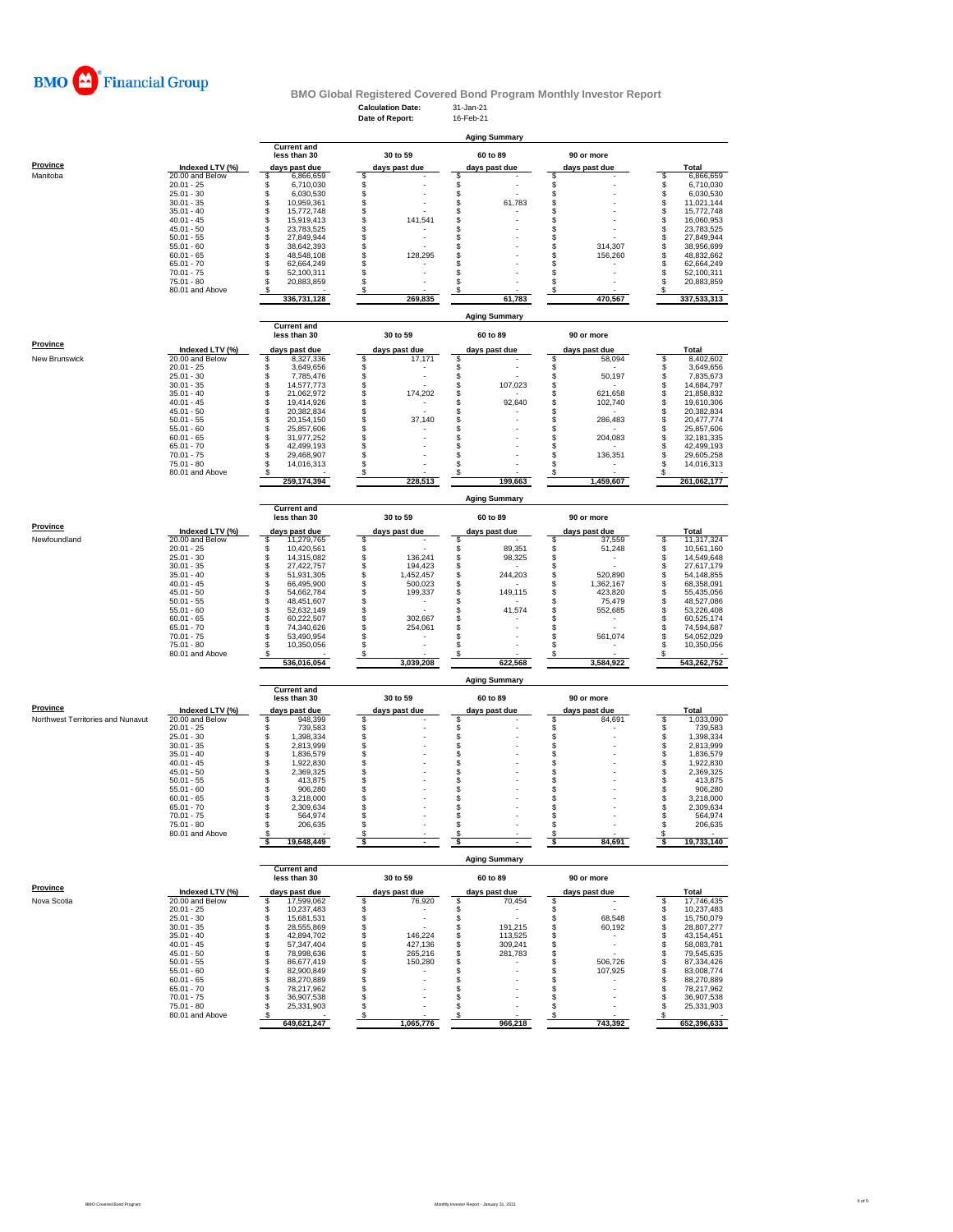

# **BMO Global Registered Covered Bond Program Monthly Investor Report**<br>Calculation Date: 31-Jan-21<br>Date of Report: 16-Feb-21

|                                   |                                    |                                      | <b>Calculation Date:</b>         | 31-Jan-21                      |                                     |                                      |
|-----------------------------------|------------------------------------|--------------------------------------|----------------------------------|--------------------------------|-------------------------------------|--------------------------------------|
|                                   |                                    |                                      | Date of Report:                  | 16-Feb-21                      |                                     |                                      |
|                                   |                                    |                                      |                                  | <b>Aging Summary</b>           |                                     |                                      |
|                                   |                                    | <b>Current and</b>                   |                                  |                                |                                     |                                      |
| Province                          |                                    | less than 30                         | 30 to 59                         | 60 to 89                       | 90 or more                          |                                      |
| Manitoba                          | Indexed LTV (%)<br>20.00 and Below | days past due<br>\$<br>6,866,659     | days past due<br>\$              | days past due<br>\$            | days past due<br>s                  | Total<br>6,866,659<br>\$             |
|                                   | $20.01 - 25$                       | \$<br>6,710,030                      |                                  | \$                             | \$                                  | \$<br>6,710,030                      |
|                                   | $25.01 - 30$                       | \$<br>6,030,530                      | \$\$                             | \$                             | \$                                  | \$<br>6,030,530                      |
|                                   | $30.01 - 35$<br>$35.01 - 40$       | \$<br>10,959,361<br>\$<br>15,772,748 | \$                               | \$<br>61,783<br>\$             | \$<br>\$                            | \$<br>11,021,144<br>\$<br>15,772,748 |
|                                   | $40.01 - 45$                       | \$<br>15,919,413                     | \$<br>141,541                    | \$                             | \$                                  | \$<br>16,060,953                     |
|                                   | $45.01 - 50$                       | \$<br>23,783,525                     | \$                               | \$                             | \$                                  | \$<br>23,783,525                     |
|                                   | $50.01 - 55$                       | \$<br>27,849,944                     | \$<br>\$                         | \$                             | \$<br>314,307<br>s                  | \$<br>27,849,944<br>38,956,699       |
|                                   | $55.01 - 60$<br>$60.01 - 65$       | \$<br>38,642,393<br>48,548,108       | \$<br>128,295                    | \$<br>\$                       | \$<br>156,260                       | \$<br>\$<br>48,832,662               |
|                                   | $65.01 - 70$                       | \$<br>62,664,249                     | \$                               | \$                             | \$                                  | \$<br>62,664,249                     |
|                                   | $70.01 - 75$                       | \$<br>52,100,311                     | \$                               | \$                             | S                                   | \$<br>52,100,311                     |
|                                   | $75.01 - 80$                       | S<br>20,883,859                      | \$                               | \$                             | s                                   | 20,883,859<br>S                      |
|                                   | 80.01 and Above                    | 336,731,128                          | \$<br>269,835                    | S<br>61,783                    | s<br>470,567                        | \$<br>337,533,313                    |
|                                   |                                    |                                      |                                  |                                |                                     |                                      |
|                                   |                                    |                                      |                                  | <b>Aging Summary</b>           |                                     |                                      |
|                                   |                                    | <b>Current and</b><br>less than 30   | 30 to 59                         | 60 to 89                       | 90 or more                          |                                      |
| Province                          |                                    |                                      |                                  |                                |                                     |                                      |
|                                   | Indexed LTV (%)                    | days past due                        | days past due                    | days past due                  | days past due                       | Total                                |
| New Brunswick                     | 20.00 and Below<br>$20.01 - 25$    | \$<br>8,327,336<br>\$<br>3,649,656   | \$<br>17,171<br>\$               | \$<br>\$                       | \$<br>58,094<br>\$                  | \$<br>8,402,602<br>3,649,656<br>\$   |
|                                   | $25.01 - 30$                       | \$<br>7,785,476                      | \$                               | \$                             | \$<br>50,197                        | \$<br>7,835,673                      |
|                                   | $30.01 - 35$                       | \$<br>14,577,773                     | \$                               | \$<br>107,023                  | \$                                  | \$<br>14,684,797                     |
|                                   | $35.01 - 40$                       | $\ddot{\$}$<br>21,062,972            | \$<br>174,202                    | \$                             | \$<br>621,658                       | \$<br>21,858,832                     |
|                                   | $40.01 - 45$                       | \$<br>19,414,926                     | \$                               | \$<br>92,640                   | \$<br>102,740                       | \$<br>19,610,306<br>20,382,834       |
|                                   | $45.01 - 50$<br>$50.01 - 55$       | 20,382,834<br>\$<br>20,154,150       | \$<br>\$<br>37,140               | \$<br>\$                       | \$<br>286,483<br>\$                 | \$<br>\$<br>20,477,774               |
|                                   | $55.01 - 60$                       | \$<br>25,857,606                     | \$                               | \$                             | \$                                  | \$<br>25,857,606                     |
|                                   | $60.01 - 65$                       | \$<br>31,977,252                     | \$                               | \$                             | \$<br>204,083                       | S<br>32,181,335                      |
|                                   | $65.01 - 70$                       | \$<br>42,499,193<br>\$               | \$<br>\$                         | \$<br>\$                       | \$<br>\$                            | s<br>42,499,193                      |
|                                   | 70.01 - 75<br>$75.01 - 80$         | 29,468,907<br>\$<br>14,016,313       | \$                               | \$                             | 136,351<br>S                        | \$<br>29,605,258<br>\$<br>14,016,313 |
|                                   | 80.01 and Above                    |                                      | S                                |                                |                                     | s                                    |
|                                   |                                    | 259,174,394                          | 228,513                          | 199,663                        | 1,459,607                           | 261,062,177                          |
|                                   |                                    |                                      |                                  |                                |                                     |                                      |
|                                   |                                    | <b>Current and</b>                   |                                  | <b>Aging Summary</b>           |                                     |                                      |
|                                   |                                    | less than 30                         | 30 to 59                         | 60 to 89                       | 90 or more                          |                                      |
| Province                          | Indexed LTV (%)                    | days past due                        | days past due                    | days past due                  | days past due                       | <b>Total</b>                         |
| Newfoundland                      | 20.00 and Below                    | \$<br>11,279,765                     | \$                               | \$                             | 37,559<br>s                         | \$<br>11,317,324                     |
|                                   | $20.01 - 25$                       | \$<br>10,420,561                     | \$                               | \$<br>89,351                   | \$<br>51,248                        | \$<br>10,561,160                     |
|                                   | $25.01 - 30$                       | \$<br>14,315,082                     | \$<br>136,241                    | \$<br>98,325                   | \$                                  | \$<br>14,549,648                     |
|                                   | $30.01 - 35$<br>$35.01 - 40$       | \$<br>27,422,757<br>\$<br>51,931,305 | \$<br>194,423<br>\$<br>1,452,457 | \$<br>\$<br>244,203            | \$<br>520,890<br>\$                 | \$<br>27,617,179<br>\$<br>54,148,855 |
|                                   | $40.01 - 45$                       | \$<br>66,495,900                     | \$<br>500,023                    | \$                             | \$<br>1,362,167                     | \$<br>68,358,091                     |
|                                   | $45.01 - 50$                       | \$<br>54,662,784                     | \$<br>199,337                    | 149,115<br>\$                  | 423,820<br>s                        | \$<br>55,435,056                     |
|                                   | $50.01 - 55$                       | \$<br>48,451,607                     | \$                               | \$                             | S<br>75,479                         | \$<br>48,527,086                     |
|                                   | $55.01 - 60$                       | \$<br>52,632,149<br>\$               | \$<br>\$                         | \$<br>41,574                   | s<br>552,685<br>s                   | \$<br>53,226,408                     |
|                                   | $60.01 - 65$<br>$65.01 - 70$       | 60,222,507<br>\$<br>74,340,626       | 302,667<br>\$<br>254,061         | \$<br>\$                       | s                                   | \$<br>60,525,174<br>\$<br>74,594,687 |
|                                   | $70.01 - 75$                       | \$<br>53,490,954                     | \$                               | \$                             | 561,074<br>S                        | \$<br>54,052,029                     |
|                                   | 75.01 - 80                         | Ŝ<br>10,350,056                      | \$                               | \$                             | s                                   | 10,350,056<br>S                      |
|                                   | 80.01 and Above                    | 536,016,054                          | S<br>3,039,208                   | S<br>622,568                   | s<br>3,584,922                      | s<br>543,262,752                     |
|                                   |                                    |                                      |                                  |                                |                                     |                                      |
|                                   |                                    |                                      |                                  | <b>Aging Summary</b>           |                                     |                                      |
|                                   |                                    | <b>Current and</b>                   |                                  |                                |                                     |                                      |
|                                   |                                    | less than 30                         | 30 to 59                         | 60 to 89                       | 90 or more                          |                                      |
| Province                          | Indexed LTV (%)                    | days past due                        | days past due                    | days past due                  | days past due                       | <b>Total</b>                         |
| Northwest Territories and Nunavut | 20.00 and Below<br>$20.01 - 25$    | 948,399<br>\$<br>\$<br>739,583       | \$<br>\$                         | \$<br>\$                       | s<br>84,691<br>\$                   | \$<br>1,033,090<br>\$<br>739,583     |
|                                   | $25.01 - 30$                       | \$<br>1,398,334                      | \$                               | \$                             | \$                                  | \$<br>1,398,334                      |
|                                   | $30.01 - 35$                       | \$<br>2,813,999                      | \$                               | \$                             | \$                                  | \$<br>2,813,999                      |
|                                   | $35.01 - 40$                       | 1,836,579                            | \$                               | \$                             | \$                                  | \$<br>1,836,579                      |
|                                   | $40.01 - 45$<br>$45.01 - 50$       | \$<br>1,922,830<br>\$<br>2,369,325   | \$<br>\$                         | \$<br>\$                       | \$<br>\$                            | \$<br>1,922,830<br>\$<br>2,369,325   |
|                                   | $50.01 - 55$                       | \$<br>413,875                        | \$                               | \$                             | \$                                  | \$<br>413,875                        |
|                                   | $55.01 - 60$                       | \$<br>906,280                        | \$                               | \$                             | s                                   | S<br>906,280                         |
|                                   | $60.01 - 65$                       | S<br>3,218,000                       | S                                | S                              | S                                   | 3,218,000<br>S                       |
|                                   | $65.01 - 70$                       | \$<br>2,309,634<br>\$                | \$<br>\$                         | \$<br>\$                       | s<br>s                              | 2,309,634<br>\$<br>S                 |
|                                   | $70.01 - 75$<br>75.01 - 80         | 564,974<br>\$<br>206,635             | \$                               | \$                             | \$                                  | 564,974<br>\$<br>206,635             |
|                                   | 80.01 and Above                    | s                                    | \$                               | S                              | S                                   | S                                    |
|                                   |                                    | 19,648,449<br>s                      | \$                               | \$.                            | 84,691<br>s                         | 19,733,140<br>-S                     |
|                                   |                                    |                                      |                                  | <b>Aging Summary</b>           |                                     |                                      |
|                                   |                                    | <b>Current and</b>                   |                                  |                                |                                     |                                      |
|                                   |                                    | less than 30                         | 30 to 59                         | 60 to 89                       | 90 or more                          |                                      |
| Province                          | Indexed LTV (%)                    | days past due                        | days past due                    | days past due                  | days past due                       | Total                                |
| Nova Scotia                       | 20.00 and Below                    | 17,599,062<br>\$                     | \$<br>76,920                     | 70,454<br>\$                   | s<br>$\overline{a}$                 | 17,746,435<br>\$                     |
|                                   | $20.01 - 25$                       | \$<br>10,237,483                     | \$<br>$\overline{\phantom{a}}$   | \$                             | \$                                  | 10,237,483<br>\$                     |
|                                   | $25.01 - 30$                       | \$<br>15,681,531                     | \$<br>$\overline{a}$             | \$                             | 68,548<br>\$                        | 15,750,079<br>\$                     |
|                                   | $30.01 - 35$<br>$35.01 - 40$       | \$<br>28,555,869<br>\$<br>42,894,702 | \$<br>\$<br>146,224              | 191,215<br>\$<br>\$<br>113,525 | 60,192<br>s<br>s<br>٠               | \$<br>28,807,277<br>\$<br>43,154,451 |
|                                   | $40.01 - 45$                       | \$<br>57,347,404                     | \$<br>427,136                    | \$<br>309,241                  | \$<br>$\overline{\phantom{a}}$      | \$<br>58,083,781                     |
|                                   | $45.01 - 50$                       | \$<br>78,998,636                     | \$<br>265,216                    | \$<br>281,783                  | \$                                  | 79,545,635<br>\$                     |
|                                   | $50.01 - 55$                       | \$<br>86,677,419                     | \$<br>150,280                    | \$                             | 506,726<br>s                        | \$<br>87,334,426                     |
|                                   | $55.01 - 60$<br>$60.01 - 65$       | \$<br>82,900,849<br>\$<br>88,270,889 | \$<br>\$                         | \$<br>\$                       | 107,925<br>s<br>s<br>$\overline{a}$ | \$<br>83,008,774<br>\$<br>88,270,889 |
|                                   | $65.01 - 70$                       | S<br>78,217,962                      | \$                               | \$                             | \$                                  | \$<br>78,217,962                     |
|                                   | $70.01 - 75$                       | s<br>36,907,538                      | \$                               | \$                             | \$                                  | \$<br>36,907,538                     |
|                                   | 75.01 - 80                         | \$<br>25,331,903                     | \$                               | \$                             | \$<br>$\overline{a}$                | \$<br>25,331,903                     |
|                                   | 80.01 and Above                    | s<br>649,621,247                     | $\boldsymbol{s}$<br>1,065,776    | \$<br>966,218                  | S<br>743,392                        | s<br>652,396,633                     |
|                                   |                                    |                                      |                                  |                                |                                     |                                      |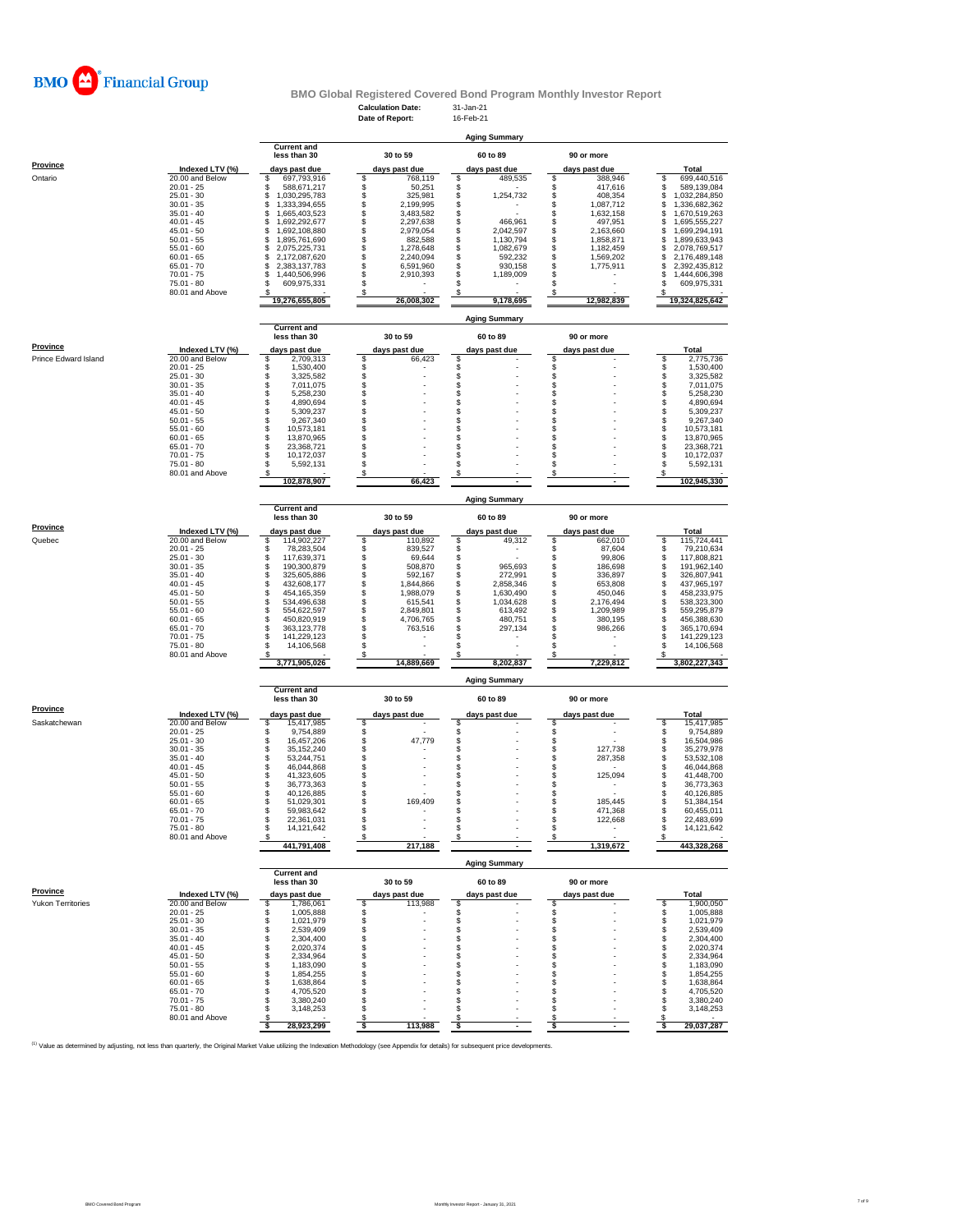

# **Calculation Date:** 31-Jan-21 **BMO Global Registered Covered Bond Program Monthly Investor Report**

|                      |                                    |                                                     | Date of Report:                              | 16-Feb-21                          |                                    |                                            |
|----------------------|------------------------------------|-----------------------------------------------------|----------------------------------------------|------------------------------------|------------------------------------|--------------------------------------------|
|                      |                                    |                                                     |                                              | <b>Aging Summary</b>               |                                    |                                            |
|                      |                                    | <b>Current and</b>                                  |                                              |                                    |                                    |                                            |
|                      |                                    | less than 30                                        | 30 to 59                                     | 60 to 89                           | 90 or more                         |                                            |
| Province             | Indexed LTV (%)                    | days past due                                       | days past due                                | days past due                      | days past due                      | Total                                      |
| Ontario              | 20.00 and Below                    | 697,793,916<br>\$                                   | \$<br>768,119                                | 489,535<br>\$                      | 388,946<br>s                       | 699,440,516<br>\$                          |
|                      | $20.01 - 25$                       | S<br>588,671,217                                    | \$<br>50,251                                 | S                                  | 417,616<br>s                       | 589,139,084<br>\$                          |
|                      | $25.01 - 30$                       | \$<br>1,030,295,783                                 | \$<br>325,981                                | \$<br>1,254,732                    | \$<br>408,354                      | \$<br>1,032,284,850                        |
|                      | $30.01 - 35$<br>$35.01 - 40$       | \$<br>1,333,394,655<br>\$<br>1,665,403,523          | \$<br>2,199,995<br>$\mathbb{S}$<br>3,483,582 | \$<br>\$                           | \$<br>1,087,712<br>\$<br>1,632,158 | \$<br>1,336,682,362<br>\$<br>1,670,519,263 |
|                      | $40.01 - 45$                       | \$<br>1,692,292,677                                 | \$<br>2,297,638                              | \$<br>466,961                      | \$<br>497,951                      | \$<br>1,695,555,227                        |
|                      | $45.01 - 50$                       | \$<br>1,692,108,880                                 | \$<br>2,979,054                              | \$<br>2,042,597                    | \$<br>2,163,660                    | \$<br>1,699,294,191                        |
|                      | $50.01 - 55$                       | \$<br>1,895,761,690                                 | \$<br>882,588                                | \$<br>1,130,794                    | S<br>1,858,871                     | \$<br>1,899,633,943                        |
|                      | $55.01 - 60$<br>$60.01 - 65$       | $\ddot{\$}$<br>2,075,225,731<br>\$<br>2,172,087,620 | \$<br>1,278,648<br>\$<br>2,240,094           | \$<br>1,082,679<br>\$<br>592,232   | \$<br>1,182,459<br>S<br>1,569,202  | \$<br>2,078,769,517<br>\$<br>2,176,489,148 |
|                      | $65.01 - 70$                       | \$<br>2,383,137,783                                 | \$<br>6,591,960                              | S<br>930,158                       | S<br>1,775,911                     | \$<br>2,392,435,812                        |
|                      | $70.01 - 75$                       | \$<br>1,440,506,996                                 | \$<br>2,910,393                              | \$<br>1,189,009                    | s                                  | \$<br>1,444,606,398                        |
|                      | 75.01 - 80                         | \$<br>609,975,331                                   | \$                                           | \$                                 | s                                  | \$<br>609,975,331                          |
|                      | 80.01 and Above                    | s<br>19,276,655,805                                 | \$<br>26,008,302                             | S<br>9,178,695                     | S<br>12,982,839                    | s<br>19,324,825,642                        |
|                      |                                    |                                                     |                                              |                                    |                                    |                                            |
|                      |                                    |                                                     |                                              | <b>Aging Summary</b>               |                                    |                                            |
|                      |                                    | <b>Current and</b>                                  |                                              |                                    |                                    |                                            |
|                      |                                    | less than 30                                        | 30 to 59                                     | 60 to 89                           | 90 or more                         |                                            |
| <b>Province</b>      | Indexed LTV (%)                    | days past due                                       | days past due                                | days past due                      | days past due                      | <b>Total</b>                               |
| Prince Edward Island | 20.00 and Below                    | \$<br>2,709,313                                     | \$<br>66,423                                 | \$                                 | s                                  | \$<br>2,775,736                            |
|                      | $20.01 - 25$<br>$25.01 - 30$       | \$<br>1,530,400<br>\$<br>3,325,582                  | \$<br>\$                                     | \$<br>\$                           | \$<br>s                            | \$<br>1,530,400<br>\$<br>3,325,582         |
|                      | $30.01 - 35$                       | 7,011,075                                           | \$                                           | \$                                 | s                                  | \$<br>7,011,075                            |
|                      | $35.01 - 40$                       | \$<br>5,258,230                                     | \$                                           | \$                                 | \$                                 | \$<br>5,258,230                            |
|                      | $40.01 - 45$                       | \$<br>4,890,694                                     | \$                                           | \$                                 | s                                  | \$<br>4,890,694                            |
|                      | $45.01 - 50$<br>$50.01 - 55$       | \$<br>5,309,237<br>\$<br>9,267,340                  | \$<br>\$                                     | \$<br>S                            | s<br>s                             | \$<br>5,309,237<br>\$<br>9,267,340         |
|                      | $55.01 - 60$                       | \$<br>10,573,181                                    | \$                                           | \$                                 | s                                  | \$<br>10,573,181                           |
|                      | $60.01 - 65$                       | \$<br>13,870,965                                    | \$                                           | \$                                 | s                                  | \$<br>13,870,965                           |
|                      | $65.01 - 70$                       | \$<br>23,368,721                                    | \$                                           | \$                                 | S                                  | \$<br>23,368,721                           |
|                      | $70.01 - 75$                       | \$<br>10.172.037                                    | \$                                           | S                                  | s                                  | S<br>10.172.037                            |
|                      | 75.01 - 80<br>80.01 and Above      | S<br>5,592,131                                      | \$<br>S                                      | \$<br>S                            | s<br>s                             | \$<br>5,592,131                            |
|                      |                                    | 102,878,907                                         | 66,423                                       |                                    |                                    | 102,945,330                                |
|                      |                                    |                                                     |                                              |                                    |                                    |                                            |
|                      |                                    |                                                     |                                              | <b>Aging Summary</b>               |                                    |                                            |
|                      |                                    | <b>Current and</b><br>less than 30                  | 30 to 59                                     | 60 to 89                           | 90 or more                         |                                            |
| Province             |                                    |                                                     |                                              |                                    |                                    |                                            |
| Quebec               | Indexed LTV (%)<br>20.00 and Below | days past due<br>\$                                 | days past due<br>110,892                     | days past due<br>49,312            | days past due<br>662,010<br>s      | Total<br>\$<br>115,724,441                 |
|                      | $20.01 - 25$                       | 114,902,227<br>s<br>78,283,504                      | \$<br>$\ddot{\$}$<br>839,527                 | \$<br>\$                           | s<br>87,604                        | \$<br>79,210,634                           |
|                      | $25.01 - 30$                       | \$<br>117,639,371                                   | \$<br>69,644                                 | \$                                 | 99,806<br>s                        | \$<br>117,808,821                          |
|                      | $30.01 - 35$                       | \$<br>190,300,879                                   | \$<br>508,870                                | \$<br>965,693                      | s<br>186,698                       | \$<br>191,962,140                          |
|                      | $35.01 - 40$                       | \$<br>325,605,886                                   | \$<br>592,167                                | \$<br>272,991                      | 336,897<br>s                       | \$<br>326,807,941                          |
|                      | $40.01 - 45$<br>$45.01 - 50$       | \$<br>432,608,177<br>\$<br>454, 165, 359            | \$<br>1,844,866<br>\$<br>1,988,079           | \$<br>2,858,346<br>\$<br>1,630,490 | 653,808<br>s<br>450,046<br>s       | \$<br>437,965,197<br>\$<br>458,233,975     |
|                      | $50.01 - 55$                       | \$<br>534,496,638                                   | \$<br>615,541                                | \$<br>1,034,628                    | \$<br>2,176,494                    | \$<br>538,323,300                          |
|                      | $55.01 - 60$                       | \$<br>554,622,597                                   | \$<br>2,849,801                              | \$<br>613,492                      | \$<br>1,209,989                    | \$<br>559,295,879                          |
|                      | $60.01 - 65$                       | \$<br>450,820,919                                   | \$<br>4,706,765                              | \$<br>480,751                      | S<br>380,195                       | \$<br>456,388,630                          |
|                      | $65.01 - 70$                       | \$<br>363,123,778                                   | \$<br>763,516                                | \$<br>297,134<br>\$                | 986,266<br>s<br>s                  | \$<br>365,170,694                          |
|                      | $70.01 - 75$<br>75.01 - 80         | \$<br>141,229,123<br>s<br>14,106,568                | \$<br>\$<br>$\overline{\phantom{a}}$         | S                                  | S<br>÷,                            | \$<br>141,229,123<br>\$<br>14,106,568      |
|                      | 80.01 and Above                    |                                                     | \$                                           | Я                                  | s                                  |                                            |
|                      |                                    | 3,771,905,026                                       | 14,889,669                                   | 8,202,837                          | 7,229,812                          | 3,802,227,343                              |
|                      |                                    |                                                     |                                              | <b>Aging Summary</b>               |                                    |                                            |
|                      |                                    | <b>Current and</b>                                  |                                              |                                    |                                    |                                            |
| <b>Province</b>      |                                    | less than 30                                        | 30 to 59                                     | 60 to 89                           | 90 or more                         |                                            |
|                      | Indexed LTV (%)                    | days past due                                       | days past due                                | days past due                      | days past due                      | Total                                      |
| Saskatchewan         | 20.00 and Below<br>$20.01 - 25$    | 15,417,985<br>\$<br>\$                              | \$                                           | \$<br>\$                           | s<br>\$                            | \$<br>15,417,985                           |
|                      | $25.01 - 30$                       | 9,754,889<br>\$<br>16,457,206                       | $\ddot{\theta}$<br>47,779                    | \$                                 | \$                                 | \$<br>9,754,889<br>\$<br>16,504,986        |
|                      | $30.01 - 35$                       | \$<br>35, 152, 240                                  | \$                                           | \$                                 | s<br>127,738                       | \$<br>35,279,978                           |
|                      | $35.01 - 40$                       | \$<br>53.244.751                                    | \$                                           | \$                                 | s<br>287,358                       | \$<br>53,532,108                           |
|                      | $40.01 - 45$                       | \$<br>46,044,868                                    | \$                                           | S                                  | s                                  | \$<br>46,044,868                           |
|                      | $45.01 - 50$<br>$50.01 - 55$       | \$<br>41,323,605<br>\$<br>36,773,363                | \$<br>\$                                     | \$<br>\$                           | s<br>125,094<br>s                  | \$<br>41,448,700<br>\$<br>36,773,363       |
|                      | $55.01 - 60$                       | S<br>40,126,885                                     | \$                                           | \$                                 | s                                  | s<br>40.126.885                            |
|                      | $60.01 - 65$                       | s<br>51,029,301                                     | \$<br>169,409                                | \$                                 | s<br>185,445                       | \$<br>51,384,154                           |
|                      | $65.01 - 70$                       | \$<br>59,983,642                                    | \$                                           | ς                                  | s<br>471,368                       | \$<br>60,455,011                           |
|                      | $70.01 - 75$<br>$75.01 - 80$       | \$<br>22,361,031<br>\$<br>14,121,642                | \$<br>\$                                     | \$<br>\$                           | \$<br>122,668<br>s<br>۰            | 22,483,699<br>\$<br>\$<br>14,121,642       |
|                      | 80.01 and Above                    |                                                     | S                                            | S                                  | s                                  |                                            |
|                      |                                    | 441,791,408                                         | 217,188                                      |                                    | 1,319,672                          | 443,328,268                                |
|                      |                                    |                                                     |                                              | <b>Aging Summary</b>               |                                    |                                            |
|                      |                                    | <b>Current and</b><br>less than 30                  | 30 to 59                                     | 60 to 89                           | 90 or more                         |                                            |
| Province             |                                    |                                                     |                                              |                                    |                                    |                                            |
| Yukon Territories    | Indexed LTV (%)<br>20.00 and Below | days past due                                       | days past due<br>\$<br>113,988               | days past due<br>\$                | days past due<br>S                 | Total<br>\$<br>1,900,050                   |
|                      | $20.01 - 25$                       | \$<br>1,786,061<br>1,005,888<br>S                   | \$                                           | \$                                 | s                                  | \$<br>1,005,888                            |
|                      |                                    | 1,021,979                                           | \$                                           | \$                                 | \$                                 | \$<br>1,021,979                            |
|                      | $25.01 - 30$                       | \$                                                  |                                              |                                    |                                    |                                            |
|                      | $30.01 - 35$                       | \$<br>2,539,409                                     | \$                                           | \$                                 | s                                  | \$<br>2,539,409                            |
|                      | $35.01 - 40$                       | \$<br>2,304,400                                     | \$                                           | \$                                 | s                                  | \$<br>2,304,400                            |
|                      | $40.01 - 45$                       | \$<br>2,020,374                                     | \$                                           | S                                  | s                                  | \$<br>2,020,374                            |
|                      | $45.01 - 50$                       | \$<br>2,334,964                                     | \$                                           | \$                                 | s<br>S                             | \$<br>2,334,964                            |
|                      | $50.01 - 55$<br>$55.01 - 60$       | \$<br>1,183,090<br>\$<br>1,854,255                  | \$<br>\$                                     | \$<br>\$                           | S                                  | \$<br>1,183,090<br>\$<br>1,854,255         |
|                      | $60.01 - 65$                       | \$<br>1,638,864                                     | \$                                           | \$                                 | S                                  | \$<br>1,638,864                            |
|                      | $65.01 - 70$                       | 4,705,520<br>\$                                     | \$                                           | S                                  | s                                  | 4,705,520<br>\$                            |
|                      | $70.01 - 75$                       | \$<br>3,380,240                                     | \$                                           | S                                  | S                                  | \$<br>3,380,240                            |
|                      | $75.01 - 80$<br>80.01 and Above    | \$<br>3,148,253<br>S<br>28,923,299                  | \$<br>S<br>113,988                           | $\mathbf{s}$<br>S                  | s<br>s                             | \$<br>3,148,253<br>S<br>29,037,287         |

<sup>(1)</sup> Value as determined by adjusting, not less than quarterly, the Original Market Value utilizing the Indexation Methodology (see Appendix for details) for subsequent price developments.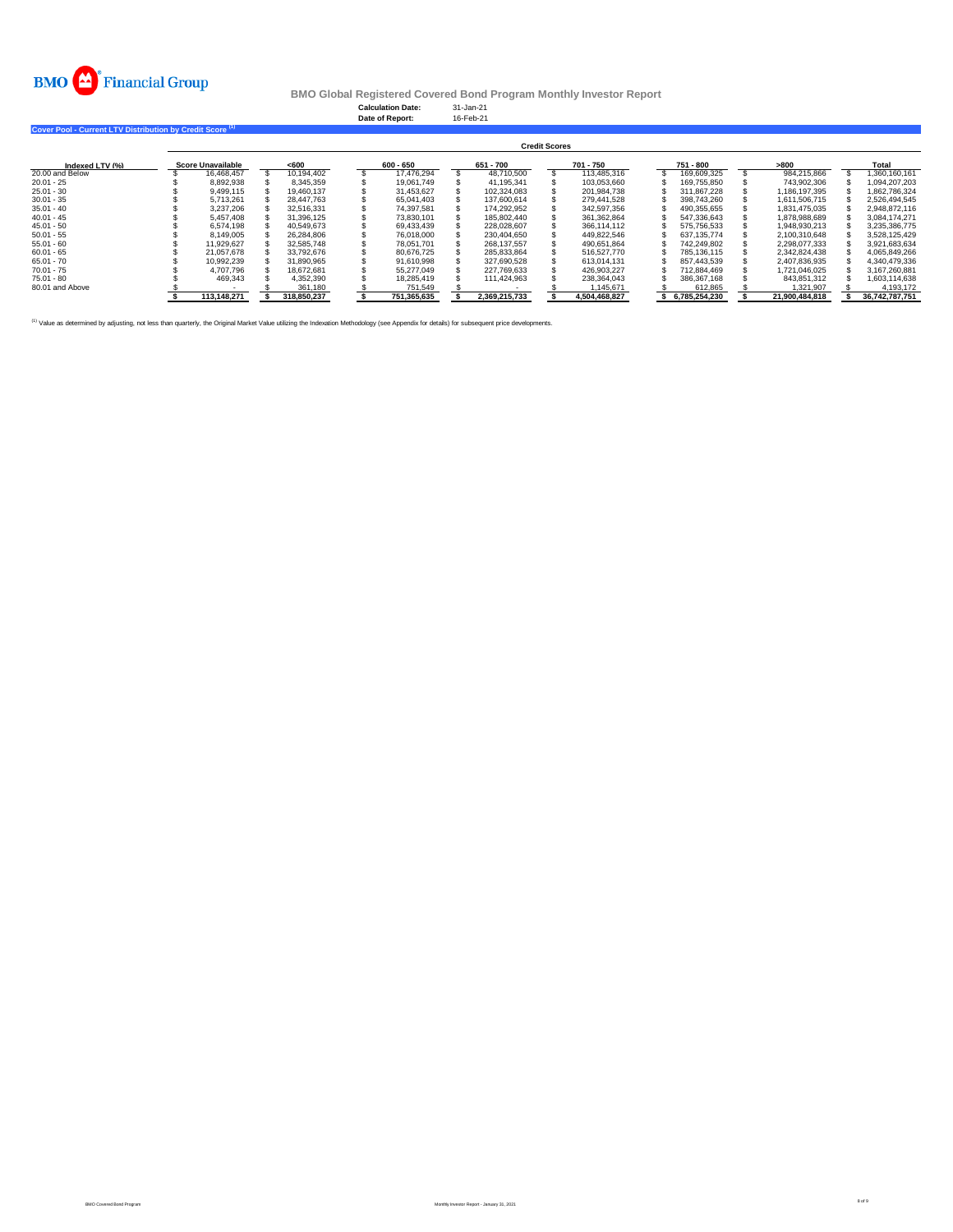

**Cover Pool - Current LTV Distribution by Credit Score (1)** 

#### **BMO Global Registered Covered Bond Program Monthly Investor Report**

**Calculation Date:** 31-Jan-21 **Date of Report:** 16-Feb-21

|                 | <b>Credit Scores</b>     |       |             |  |             |  |               |  |               |  |               |  |                |  |                |  |
|-----------------|--------------------------|-------|-------------|--|-------------|--|---------------|--|---------------|--|---------------|--|----------------|--|----------------|--|
| Indexed LTV (%) | <b>Score Unavailable</b> | < 600 |             |  | 600 - 650   |  | 651 - 700     |  | 701 - 750     |  | 751 - 800     |  | >800           |  | Total          |  |
| 20.00 and Below | 16.468.457               |       | 10.194.402  |  | 17.476.294  |  | 48.710.500    |  | 113.485.316   |  | 169.609.325   |  | 984.215.866    |  | 1.360.160.161  |  |
| $20.01 - 25$    | 8,892,938                |       | 8.345.359   |  | 19.061.749  |  | 41.195.341    |  | 103.053.660   |  | 169.755.850   |  | 743,902,306    |  | 1.094.207.203  |  |
| $25.01 - 30$    | 9.499.115                |       | 19.460.137  |  | 31.453.627  |  | 102.324.083   |  | 201.984.738   |  | 311.867.228   |  | 1.186.197.395  |  | 1.862.786.324  |  |
| $30.01 - 35$    | 5.713.261                |       | 28.447.763  |  | 65.041.403  |  | 137.600.614   |  | 279.441.528   |  | 398.743.260   |  | 1.611.506.715  |  | 2.526.494.545  |  |
| $35.01 - 40$    | 3.237.206                |       | 32.516.331  |  | 74.397.581  |  | 174.292.952   |  | 342.597.356   |  | 490.355.655   |  | 1.831.475.035  |  | 2.948.872.116  |  |
| $40.01 - 45$    | 5.457.408                |       | 31.396.125  |  | 73.830.101  |  | 185.802.440   |  | 361.362.864   |  | 547.336.643   |  | 1.878.988.689  |  | 3.084.174.271  |  |
| $45.01 - 50$    | 6.574.198                |       | 40.549.673  |  | 69.433.439  |  | 228.028.607   |  | 366.114.112   |  | 575.756.533   |  | 1.948.930.213  |  | 3.235.386.775  |  |
| $50.01 - 55$    | 8.149.005                |       | 26.284.806  |  | 76.018.000  |  | 230.404.650   |  | 449.822.546   |  | 637.135.774   |  | 2.100.310.648  |  | 3.528.125.429  |  |
| $55.01 - 60$    | 11.929.627               |       | 32,585,748  |  | 78.051.701  |  | 268.137.557   |  | 490.651.864   |  | 742.249.802   |  | 2.298.077.333  |  | 3.921.683.634  |  |
| $60.01 - 65$    | 21.057.678               |       | 33,792,676  |  | 80.676.725  |  | 285.833.864   |  | 516.527.770   |  | 785.136.115   |  | 2.342.824.438  |  | 4.065.849.266  |  |
| $65.01 - 70$    | 10.992.239               |       | 31.890.965  |  | 91.610.998  |  | 327.690.528   |  | 613.014.131   |  | 857.443.539   |  | 2.407.836.935  |  | 4.340.479.336  |  |
| $70.01 - 75$    | 4.707.796                |       | 18.672.681  |  | 55.277.049  |  | 227.769.633   |  | 426.903.227   |  | 712.884.469   |  | 1.721.046.025  |  | 3.167.260.881  |  |
| $75.01 - 80$    | 469.343                  |       | 4.352.390   |  | 18.285.419  |  | 111.424.963   |  | 238.364.043   |  | 386.367.168   |  | 843.851.312    |  | 1.603.114.638  |  |
| 80.01 and Above |                          |       | 361.180     |  | 751.549     |  |               |  | 1.145.671     |  | 612.865       |  | 1.321.907      |  | 4.193.172      |  |
|                 | 113.148.271              |       | 318,850,237 |  | 751.365.635 |  | 2,369,215,733 |  | 4.504.468.827 |  | 6,785,254,230 |  | 21.900.484.818 |  | 36,742,787,751 |  |

<sup>(1)</sup> Value as determined by adjusting, not less than quarterly, the Original Market Value utilizing the Indexation Methodology (see Appendix for details) for subsequent price developments.